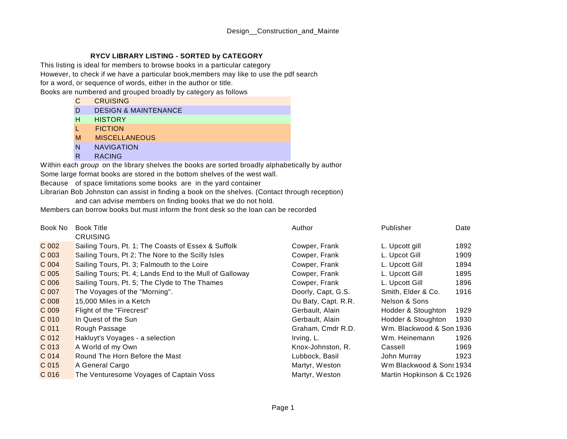## **RYCV LIBRARY LISTING - SORTED by CATEGORY**

This listing is ideal for members to browse books in a particular category

However, to check if we have a particular book,members may like to use the pdf search

for a word, or sequence of words, either in the author or title.

Books are numbered and grouped broadly by category as follows

- C CRUISING
- D DESIGN & MAINTENANCE
- H **HISTORY**
- L FICTION
- M MISCELLANEOUS
- N NAVIGATION
- R RACING

Some large format books are stored in the bottom shelves of the west wall. Within each *group* on the library shelves the books are sorted broadly alphabetically by author

Because of space limitations some books are in the yard container

Librarian Bob Johnston can assist in finding a book on the shelves. (Contact through reception)

and can advise members on finding books that we do not hold.

Members can borrow books but must inform the front desk so the loan can be recorded

| Book No          | <b>Book Title</b><br><b>CRUISING</b>                    | Author              | Publisher                  | Date |
|------------------|---------------------------------------------------------|---------------------|----------------------------|------|
| $C$ 002          | Sailing Tours, Pt. 1; The Coasts of Essex & Suffolk     | Cowper, Frank       | L. Upcott gill             | 1892 |
| C 003            | Sailing Tours, Pt 2; The Nore to the Scilly Isles       | Cowper, Frank       | L. Upcot Gill              | 1909 |
| C 004            | Sailing Tours, Pt. 3; Falmouth to the Loire             | Cowper, Frank       | L. Upcott Gill             | 1894 |
| C 005            | Sailing Tours; Pt. 4; Lands End to the Mull of Galloway | Cowper, Frank       | L. Upcott Gill             | 1895 |
| C 006            | Sailing Tours, Pt. 5; The Clyde to The Thames           | Cowper, Frank       | L. Upcott Gill             | 1896 |
| C 007            | The Voyages of the "Morning".                           | Doorly, Capt, G.S.  | Smith, Elder & Co.         | 1916 |
| $C$ 008          | 15,000 Miles in a Ketch                                 | Du Baty, Capt. R.R. | Nelson & Sons              |      |
| C 009            | Flight of the "Firecrest"                               | Gerbault, Alain     | Hodder & Stoughton         | 1929 |
| C 010            | In Quest of the Sun                                     | Gerbault, Alain     | Hodder & Stoughton         | 1930 |
| C 011            | Rough Passage                                           | Graham, Cmdr R.D.   | Wm. Blackwood & Son 1936   |      |
| C 012            | Hakluyt's Voyages - a selection                         | Irving, L.          | Wm. Heinemann              | 1926 |
| C 013            | A World of my Own                                       | Knox-Johnston, R.   | Cassell                    | 1969 |
| C 014            | Round The Horn Before the Mast                          | Lubbock, Basil      | John Murray                | 1923 |
| C 015            | A General Cargo                                         | Martyr, Weston      | Wm Blackwood & Sons 1934   |      |
| C <sub>016</sub> | The Venturesome Voyages of Captain Voss                 | Martyr, Weston      | Martin Hopkinson & Cc 1926 |      |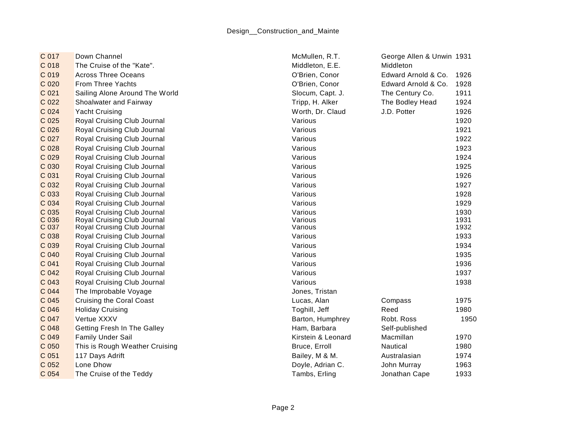| C 017          | Down Channel                    | McMullen, R.T.     | George Allen & Unwin 1931 |              |
|----------------|---------------------------------|--------------------|---------------------------|--------------|
| C 018          | The Cruise of the "Kate".       | Middleton, E.E.    | Middleton                 |              |
| C 019          | <b>Across Three Oceans</b>      | O'Brien, Conor     | Edward Arnold & Co.       | 1926         |
| C 020          | <b>From Three Yachts</b>        | O'Brien, Conor     | Edward Arnold & Co.       | 1928         |
| C 021          | Sailing Alone Around The World  | Slocum, Capt. J.   | The Century Co.           | 1911         |
| C 022          | Shoalwater and Fairway          | Tripp, H. Alker    | The Bodley Head           | 1924         |
| C 024          | <b>Yacht Cruising</b>           | Worth, Dr. Claud   | J.D. Potter               | 1926         |
| C 025          | Royal Cruising Club Journal     | Various            |                           | 1920         |
| C 026          | Royal Cruising Club Journal     | Various            |                           | 1921         |
| C 027          | Royal Cruising Club Journal     | Various            |                           | 1922         |
| C 028          | Royal Cruising Club Journal     | Various            |                           | 1923         |
| C 029          | Royal Cruising Club Journal     | Various            |                           | 1924         |
| C 030          | Royal Cruising Club Journal     | Various            |                           | 1925         |
| C 031          | Royal Cruising Club Journal     | Various            |                           | 1926         |
| C 032          | Royal Cruising Club Journal     | Various            |                           | 1927         |
| C 033          | Royal Cruising Club Journal     | Various            |                           | 1928         |
| C 034          | Royal Cruising Club Journal     | Various            |                           | 1929         |
| C 035          | Royal Cruising Club Journal     | Various            |                           | 1930         |
| C 036          | Royal Cruising Club Journal     | Various            |                           | 1931         |
| C 037          | Royal Cruising Club Journal     | Various            |                           | 1932         |
| C 038<br>C 039 | Royal Cruising Club Journal     | Various            |                           | 1933<br>1934 |
|                | Royal Cruising Club Journal     | Various            |                           |              |
| C 040          | Royal Cruising Club Journal     | Various            |                           | 1935         |
| C 041          | Royal Cruising Club Journal     | Various            |                           | 1936         |
| C 042          | Royal Cruising Club Journal     | Various            |                           | 1937         |
| C 043          | Royal Cruising Club Journal     | Various            |                           | 1938         |
| C 044          | The Improbable Voyage           | Jones, Tristan     |                           |              |
| C 045          | <b>Cruising the Coral Coast</b> | Lucas, Alan        | Compass                   | 1975         |
| C 046          | <b>Holiday Cruising</b>         | Toghill, Jeff      | Reed                      | 1980         |
| C 047          | Vertue XXXV                     | Barton, Humphrey   | Robt. Ross                | 1950         |
| C 048          | Getting Fresh In The Galley     | Ham, Barbara       | Self-published            |              |
| C 049          | <b>Family Under Sail</b>        | Kirstein & Leonard | Macmillan                 | 1970         |
| C 050          | This is Rough Weather Cruising  | Bruce, Erroll      | Nautical                  | 1980         |
| C 051          | 117 Days Adrift                 | Bailey, M & M.     | Australasian              | 1974         |
| C 052          | Lone Dhow                       | Doyle, Adrian C.   | John Murray               | 1963         |
| C 054          | The Cruise of the Teddy         | Tambs, Erling      | Jonathan Cape             | 1933         |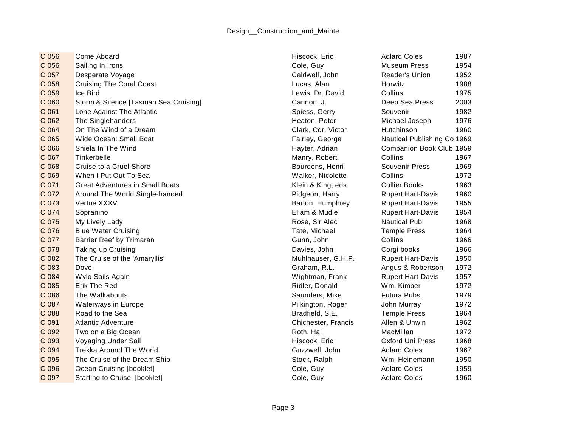C 056 Come Aboard North Come Aboard New York 1987 (North Coles 1987 ) and Hiscock, Eric New York Adlard Coles 1987 C 056 Sailing In Irons Cole, Guy Museum Press 1954 C 057 Desperate Voyage C 057 Desperate Voyage Caldwell, John Reader's Union 1952 C 058 Cruising The Coral Coast Cast Coral Coast C Development C UCAS, Alan Horwitz C 058 Horwitz C 1988 C 059 Ice Bird Lewis, Dr. David Collins 1975 C 060 Storm & Silence [Tasman Sea Cruising] Cannon, J. Cannon, J. Deep Sea Press 2003 C 061 Lone Against The Atlantic **Subset C 1982** Spiess, Gerry Souvenir 1982 C 062 The Singlehanders Heaton, Peter Michael Joseph 1976 C 064 On The Wind of a Dream Carries Clark, Carries Clark, Carries Clark, Cdr. Victor Hutchinson 1960 C 065 Wide Ocean: Small Boat Fairley, George Nautical Publishing Co 1969 C 066 Shiela In The Wind **C 066 Shiela In The Wind Companion Book Club** 1959 C 067 Tinkerbelle Manry, Robert Collins 1967 C 068 Cruise to a Cruel Shore **Bourdens**, Henri Souvenir Press 1969 C 069 When I Put Out To Sea November 2008 Walker, Nicolette Collins 2016 1972 C 071 Great Adventures in Small Boats **Klein & Klein & King, eds** Collier Books 1963 C 072 Around The World Single-handed **Propert Hart-Davis 1960** Pidgeon, Harry Rupert Hart-Davis 1960 C 073 Vertue XXXV **Barton, Humphrey Rupert Hart-Davis** 1955 C 074 Sopranino Ellam & Mudie Rupert Hart-Davis 1954 C 075 My Lively Lady **Rose, Sir Alec Nautical Pub.** 2968 C 076 Blue Water Cruising C 076 Blue Water Cruising C 076 Blue Water Cruising C 076 Blue Water Cruising C 076 C 077 Barrier Reef by Trimaran Collins Collins 1966 C 078 Taking up Cruising Communication C 078 Taking up Cruising Corgi books 1966 C 082 The Cruise of the 'Amaryllis' C 082 The Cruise of the 'Amaryllis' Muhlhauser, G.H.P. Rupert Hart-Davis 1950 C 083 Dove Graham, R.L. Angus & Robertson 1972 C 084 Wylo Sails Again November 2008 Number 2008 Wightman, Frank Rupert Hart-Davis 1957 C 085 Erik The Red Ridler, Donald Wm. Kimber 1972 C 086 The Walkabouts **Saunders**, Mike Futura Pubs. 1979 C 087 Waterways in Europe **Pilkington, Roger** John Murray 1972 C 088 Road to the Sea Bradfield, S.E. Temple Press 1964 C 091 Atlantic Adventure Chichester, Francis Allen & Unwin 1962 C 092 Two on a Big Ocean **Roth C 1972** C 092 Two on a Big Ocean Roth, Hal MacMillan 1972 C 093 Voyaging Under Sail Note 1968 C 093 Voyaging Under Sail Note 1968 C 094 Trekka Around The World Guzzwell, John Adlard Coles 1967 C 095 The Cruise of the Dream Ship Stock, Ralph Stock, Ralph Wm. Heinemann 1950 C 096 Ocean Cruising [booklet] Cole, Guy Cole, Guy Adlard Coles 1959 C 097 Starting to Cruise [booklet] Cole, Guy Cole, Guy Adlard Coles 1960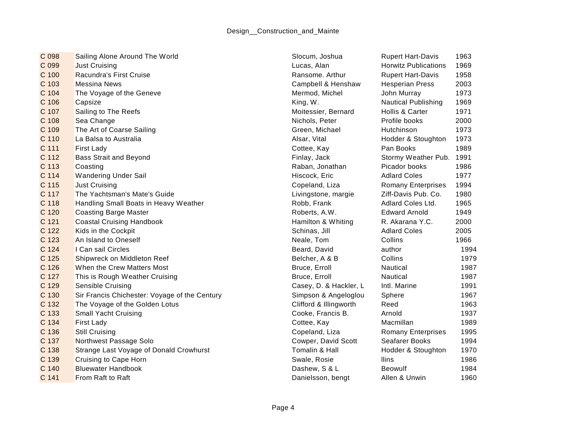| C 098 | Sailing Alone Around The World                | Slocum, Joshua         | <b>Rupert Hart-Davis</b>    | 1963 |
|-------|-----------------------------------------------|------------------------|-----------------------------|------|
| C 099 | <b>Just Cruising</b>                          | Lucas, Alan            | <b>Horwitz Publications</b> | 1969 |
| C 100 | Racundra's First Cruise                       | Ransome. Arthur        | <b>Rupert Hart-Davis</b>    | 1958 |
| C 103 | <b>Messina News</b>                           | Campbell & Henshaw     | <b>Hesperian Press</b>      | 2003 |
| C 104 | The Voyage of the Geneve                      | Mermod, Michel         | John Murray                 | 1973 |
| C 106 | Capsize                                       | King, W.               | <b>Nautical Publishing</b>  | 1969 |
| C 107 | Sailing to The Reefs                          | Moitessier, Bernard    | Hollis & Carter             | 1971 |
| C 108 | Sea Change                                    | Nichols, Peter         | Profile books               | 2000 |
| C 109 | The Art of Coarse Sailing                     | Green, Michael         | Hutchinson                  | 1973 |
| C 110 | La Balsa to Australia                         | Alsar, Vital           | Hodder & Stoughton          | 1973 |
| C 111 | <b>First Lady</b>                             | Cottee, Kay            | Pan Books                   | 1989 |
| C 112 | <b>Bass Strait and Beyond</b>                 | Finlay, Jack           | Stormy Weather Pub. 1991    |      |
| C 113 | Coasting                                      | Raban, Jonathan        | Picador books               | 1986 |
| C 114 | <b>Wandering Under Sail</b>                   | Hiscock, Eric          | <b>Adlard Coles</b>         | 1977 |
| C 115 | <b>Just Cruising</b>                          | Copeland, Liza         | <b>Romany Enterprises</b>   | 1994 |
| C 117 | The Yachtsman's Mate's Guide                  | Livingstone, margie    | Ziff-Davis Pub. Co.         | 1980 |
| C 118 | Handling Small Boats in Heavy Weather         | Robb, Frank            | Adlard Coles Ltd.           | 1965 |
| C 120 | <b>Coasting Barge Master</b>                  | Roberts, A.W.          | <b>Edward Arnold</b>        | 1949 |
| C 121 | <b>Coastal Cruising Handbook</b>              | Hamilton & Whiting     | R. Akarana Y.C.             | 2000 |
| C 122 | Kids in the Cockpit                           | Schinas, Jill          | <b>Adlard Coles</b>         | 2005 |
| C 123 | An Island to Oneself                          | Neale, Tom             | Collins                     | 1966 |
| C 124 | I Can sail Circles                            | Beard, David           | author                      | 1994 |
| C 125 | Shipwreck on Middleton Reef                   | Belcher, A & B         | Collins                     | 1979 |
| C 126 | When the Crew Matters Most                    | Bruce, Erroll          | Nautical                    | 1987 |
| C 127 | This is Rough Weather Cruising                | Bruce, Erroll          | Nautical                    | 1987 |
| C 129 | Sensible Cruising                             | Casey, D. & Hackler, L | Intl. Marine                | 1991 |
| C 130 | Sir Francis Chichester: Voyage of the Century | Simpson & Angeloglou   | Sphere                      | 1967 |
| C 132 | The Voyage of the Golden Lotus                | Clifford & Illingworth | Reed                        | 1963 |
| C 133 | <b>Small Yacht Cruising</b>                   | Cooke, Francis B.      | Arnold                      | 1937 |
| C 134 | First Lady                                    | Cottee, Kay            | Macmillan                   | 1989 |
| C 136 | <b>Still Cruising</b>                         | Copeland, Liza         | <b>Romany Enterprises</b>   | 1995 |
| C 137 | Northwest Passage Solo                        | Cowper, David Scott    | Seafarer Books              | 1994 |
| C 138 | Strange Last Voyage of Donald Crowhurst       | Tomalin & Hall         | Hodder & Stoughton          | 1970 |
| C 139 | Cruising to Cape Horn                         | Swale, Rosie           | Ilins                       | 1986 |
| C 140 | <b>Bluewater Handbook</b>                     | Dashew, S & L          | <b>Beowulf</b>              | 1984 |
| C 141 | From Raft to Raft                             | Danielsson, bengt      | Allen & Unwin               | 1960 |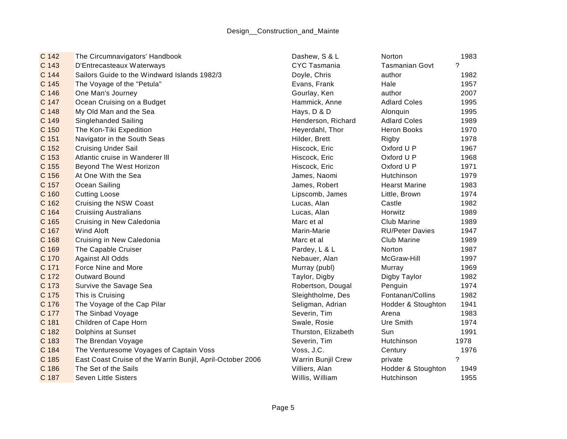| C 142 | The Circumnavigators' Handbook                             | Dashew, S & L       | <b>Norton</b>          | 1983        |
|-------|------------------------------------------------------------|---------------------|------------------------|-------------|
| C 143 | D'Entrecasteaux Waterways                                  | <b>CYC Tasmania</b> | <b>Tasmanian Govt</b>  | $\tilde{?}$ |
| C 144 | Sailors Guide to the Windward Islands 1982/3               | Doyle, Chris        | author                 | 1982        |
| C 145 | The Voyage of the "Petula"                                 | Evans, Frank        | Hale                   | 1957        |
| C 146 | One Man's Journey                                          | Gourlay, Ken        | author                 | 2007        |
| C 147 | Ocean Cruising on a Budget                                 | Hammick, Anne       | <b>Adlard Coles</b>    | 1995        |
| C 148 | My Old Man and the Sea                                     | Hays, D & D         | Alonquin               | 1995        |
| C 149 | Singlehanded Sailing                                       | Henderson, Richard  | <b>Adlard Coles</b>    | 1989        |
| C 150 | The Kon-Tiki Expedition                                    | Heyerdahl, Thor     | <b>Heron Books</b>     | 1970        |
| C 151 | Navigator in the South Seas                                | Hilder, Brett       | Rigby                  | 1978        |
| C 152 | <b>Cruising Under Sail</b>                                 | Hiscock, Eric       | Oxford U P             | 1967        |
| C 153 | Atlantic cruise in Wanderer III                            | Hiscock, Eric       | Oxford U P             | 1968        |
| C 155 | Beyond The West Horizon                                    | Hiscock, Eric       | Oxford U P             | 1971        |
| C 156 | At One With the Sea                                        | James, Naomi        | Hutchinson             | 1979        |
| C 157 | Ocean Sailing                                              | James, Robert       | <b>Hearst Marine</b>   | 1983        |
| C 160 | <b>Cutting Loose</b>                                       | Lipscomb, James     | Little, Brown          | 1974        |
| C 162 | Cruising the NSW Coast                                     | Lucas, Alan         | Castle                 | 1982        |
| C 164 | <b>Cruisiing Australians</b>                               | Lucas, Alan         | Horwitz                | 1989        |
| C 165 | Cruising in New Caledonia                                  | Marc et al          | <b>Club Marine</b>     | 1989        |
| C 167 | <b>Wind Aloft</b>                                          | Marin-Marie         | <b>RU/Peter Davies</b> | 1947        |
| C 168 | Cruising in New Caledonia                                  | Marc et al          | Club Marine            | 1989        |
| C 169 | The Capable Cruiser                                        | Pardey, L & L       | Norton                 | 1987        |
| C 170 | Against All Odds                                           | Nebauer, Alan       | McGraw-Hill            | 1997        |
| C 171 | Force Nine and More                                        | Murray (publ)       | Murray                 | 1969        |
| C 172 | <b>Outward Bound</b>                                       | Taylor, Digby       | Digby Taylor           | 1982        |
| C 173 | Survive the Savage Sea                                     | Robertson, Dougal   | Penguin                | 1974        |
| C 175 | This is Cruising                                           | Sleightholme, Des   | Fontanan/Collins       | 1982        |
| C 176 | The Voyage of the Cap Pilar                                | Seligman, Adrian    | Hodder & Stoughton     | 1941        |
| C 177 | The Sinbad Voyage                                          | Severin, Tim        | Arena                  | 1983        |
| C 181 | Children of Cape Horn                                      | Swale, Rosie        | Ure Smith              | 1974        |
| C 182 | Dolphins at Sunset                                         | Thurston, Elizabeth | Sun                    | 1991        |
| C 183 | The Brendan Voyage                                         | Severin, Tim        | Hutchinson             | 1978        |
| C 184 | The Venturesome Voyages of Captain Voss                    | Voss, J.C.          | Century                | 1976        |
| C 185 | East Coast Cruise of the Warrin Bunjil, April-October 2006 | Warrin Bunjil Crew  | private                | $\gamma$    |
| C 186 | The Set of the Sails                                       | Villiers, Alan      | Hodder & Stoughton     | 1949        |
| C 187 | <b>Seven Little Sisters</b>                                | Willis, William     | Hutchinson             | 1955        |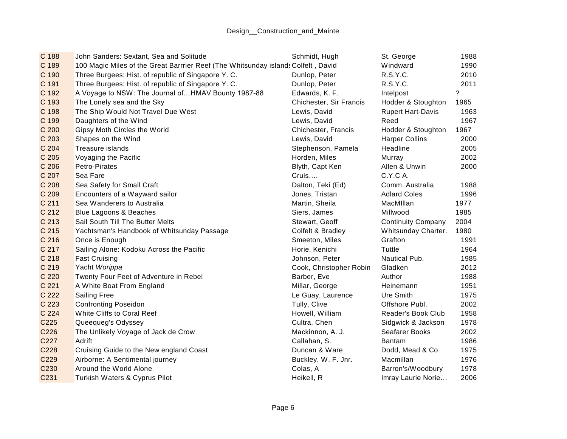| C 188            | John Sanders: Sextant, Sea and Solitude                                           | Schmidt, Hugh           | St. George                | 1988 |
|------------------|-----------------------------------------------------------------------------------|-------------------------|---------------------------|------|
| C 189            | 100 Magic Miles of the Great Barrrier Reef (The Whitsunday islands Colfelt, David |                         | Windward                  | 1990 |
| C 190            | Three Burgees: Hist. of republic of Singapore Y. C.                               | Dunlop, Peter           | R.S.Y.C.                  | 2010 |
| C 191            | Three Burgees: Hist. of republic of Singapore Y. C.                               | Dunlop, Peter           | R.S.Y.C.                  | 2011 |
| C 192            | A Voyage to NSW: The Journal of HMAV Bounty 1987-88                               | Edwards, K. F.          | Intelpost                 | 2    |
| C 193            | The Lonely sea and the Sky                                                        | Chichester, Sir Francis | Hodder & Stoughton        | 1965 |
| C 198            | The Ship Would Not Travel Due West                                                | Lewis, David            | <b>Rupert Hart-Davis</b>  | 1963 |
| C 199            | Daughters of the Wind                                                             | Lewis, David            | Reed                      | 1967 |
| C 200            | Gipsy Moth Circles the World                                                      | Chichester, Francis     | Hodder & Stoughton        | 1967 |
| C 203            | Shapes on the Wind                                                                | Lewis, David            | <b>Harper Collins</b>     | 2000 |
| C 204            | Treasure islands                                                                  | Stephenson, Pamela      | Headline                  | 2005 |
| C 205            | Voyaging the Pacific                                                              | Horden, Miles           | Murray                    | 2002 |
| C 206            | Petro-Pirates                                                                     | Blyth, Capt Ken         | Allen & Unwin             | 2000 |
| C 207            | Sea Fare                                                                          | Cruis                   | C.Y.C A.                  |      |
| C 208            | Sea Safety for Small Craft                                                        | Dalton, Teki (Ed)       | Comm. Australia           | 1988 |
| C 209            | Encounters of a Wayward sailor                                                    | Jones, Tristan          | <b>Adlard Coles</b>       | 1996 |
| C 211            | Sea Wanderers to Australia                                                        | Martin, Sheila          | MacMIllan                 | 1977 |
| C 212            | Blue Lagoons & Beaches                                                            | Siers, James            | Millwood                  | 1985 |
| C 213            | Sail South Till The Butter Melts                                                  | Stewart, Geoff          | <b>Continuity Company</b> | 2004 |
| C 215            | Yachtsman's Handbook of Whitsunday Passage                                        | Colfelt & Bradley       | Whitsunday Charter.       | 1980 |
| C 216            | Once is Enough                                                                    | Smeeton, Miles          | Grafton                   | 1991 |
| C 217            | Sailing Alone: Kodoku Across the Pacific                                          | Horie, Kenichi          | Tuttle                    | 1964 |
| C 218            | <b>Fast Cruising</b>                                                              | Johnson, Peter          | Nautical Pub.             | 1985 |
| C 219            | Yacht Worippa                                                                     | Cook, Christopher Robin | Gladken                   | 2012 |
| C 220            | Twenty Four Feet of Adventure in Rebel                                            | Barber, Eve             | Author                    | 1988 |
| C 221            | A White Boat From England                                                         | Millar, George          | Heinemann                 | 1951 |
| C 222            | <b>Sailing Free</b>                                                               | Le Guay, Laurence       | Ure Smith                 | 1975 |
| C 223            | <b>Confronting Poseidon</b>                                                       | Tully, Clive            | Offshore Publ.            | 2002 |
| C 224            | White Cliffs to Coral Reef                                                        | Howell, William         | Reader's Book Club        | 1958 |
| C <sub>225</sub> | Queequeg's Odyssey                                                                | Cultra, Chen            | Sidgwick & Jackson        | 1978 |
| C226             | The Unlikely Voyage of Jack de Crow                                               | Mackinnon, A. J.        | Seafarer Books            | 2002 |
| C227             | Adrift                                                                            | Callahan, S.            | <b>Bantam</b>             | 1986 |
| C228             | Cruising Guide to the New england Coast                                           | Duncan & Ware           | Dodd, Mead & Co           | 1975 |
| C229             | Airborne: A Sentimental journey                                                   | Buckley, W. F. Jnr.     | Macmillan                 | 1976 |
| C230             | Around the World Alone                                                            | Colas, A                | Barron's/Woodbury         | 1978 |
| C231             | Turkish Waters & Cyprus Pilot                                                     | Heikell, R              | Imray Laurie Norie        | 2006 |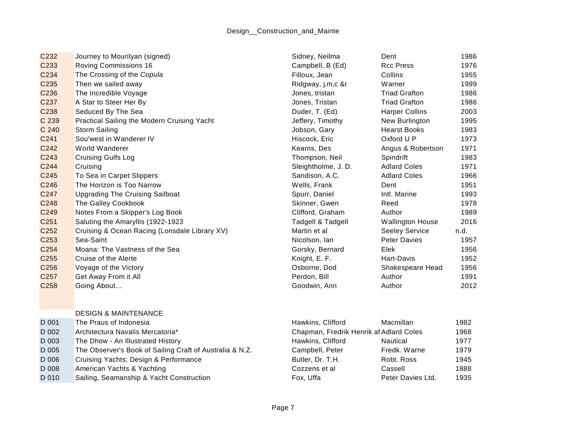| C <sub>232</sub> | Journey to Mourilyan (signed)                            | Sidney, Neilma                          | Dent                    | 1986 |
|------------------|----------------------------------------------------------|-----------------------------------------|-------------------------|------|
| C233             | <b>Roving Commissions 16</b>                             | Campbell, B (Ed)                        | <b>Rcc Press</b>        | 1976 |
| C234             | The Crossing of the Copula                               | Filloux, Jean                           | Collins                 | 1955 |
| C235             | Then we sailed away                                      | Ridgway, j,m,c &r                       | Warner                  | 1999 |
| C236             | The Incredible Voyage                                    | Jones, tristan                          | <b>Triad Grafton</b>    | 1986 |
| C237             | A Star to Steer Her By                                   | Jones, Tristan                          | <b>Triad Grafton</b>    | 1986 |
| C238             | Seduced By The Sea                                       | Duder, T. (Ed)                          | <b>Harper Collins</b>   | 2003 |
| C 239            | Practical Sailing the Modern Cruising Yacht              | Jeffery, Timothy                        | New Burlington          | 1995 |
| C 240            | <b>Storm Sailing</b>                                     | Jobson, Gary                            | <b>Hearst Books</b>     | 1983 |
| C241             | Sou'west in Wanderer IV                                  | Hiscock, Eric                           | Oxford U P              | 1973 |
| C242             | World Wanderer                                           | Kearns, Des                             | Angus & Robertson       | 1971 |
| C243             | <b>Cruising Gulfs Log</b>                                | Thompson, Neil                          | Spindrift               | 1983 |
| C244             | Cruising                                                 | Sleightholme, J. D.                     | <b>Adlard Coles</b>     | 1971 |
| C245             | To Sea in Carpet Slippers                                | Sandison, A.C.                          | <b>Adlard Coles</b>     | 1966 |
| C246             | The Horizon is Too Narrow                                | Wells, Frank                            | Dent                    | 1951 |
| C247             | <b>Upgrading The Cruising Sailboat</b>                   | Spurr, Daniel                           | Intl. Marine            | 1993 |
| C248             | The Galley Cookbook                                      | Skinner, Gwen                           | Reed                    | 1978 |
| C249             | Notes From a Skipper's Log Book                          | Clifford, Graham                        | Author                  | 1989 |
| C251             | Saluting the Amaryllis (1922-1923                        | Tadgell & Tadgell                       | <b>Wallington House</b> | 2016 |
| C252             | Cruising & Ocean Racing (Lonsdale Library XV)            | Martin et al                            | <b>Seeley Service</b>   | n.d. |
| C <sub>253</sub> | Sea-Saint                                                | Nicolson, Ian                           | <b>Peter Davies</b>     | 1957 |
| C254             | Moana: The Vastness of the Sea                           | Gorsky, Bernard                         | Elek                    | 1956 |
| C <sub>255</sub> | Cruise of the Alerte                                     | Knight, E. F.                           | Hart-Davis              | 1952 |
| C256             | Voyage of the Victory                                    | Osborne, Dod                            | Shakespeare Head        | 1956 |
| C <sub>257</sub> | Get Away From it All                                     | Perdon, Bill                            | Author                  | 1991 |
| C258             | Going About                                              | Goodwin, Ann                            | Author                  | 2012 |
|                  |                                                          |                                         |                         |      |
|                  |                                                          |                                         |                         |      |
|                  | <b>DESIGN &amp; MAINTENANCE</b>                          |                                         |                         |      |
| D 001            | The Praus of Indonesia                                   | Hawkins, Clifford                       | Macmillan               | 1982 |
| D 002            | Architectura Navalis Mercatoria*                         | Chapman, Fredrik Henrik af Adlard Coles |                         | 1968 |
| D 003            | The Dhow - An Illustrated History                        | Hawkins, Clifford                       | Nautical                | 1977 |
| D 005            | The Observer's Book of Sailing Craft of Australia & N.Z. | Campbell, Peter                         | Fredk. Warne            | 1979 |
| D 006            | Cruising Yachts; Design & Performance                    | Butler, Dr. T.H.                        | Robt. Ross              | 1945 |
| D 008            | American Yachts & Yachting                               | Cozzens et al                           | Cassell                 | 1888 |

D 010 Sailing, Seamanship & Yacht Construction Fox, Uffa Fox, Uffa Peter Davies Ltd. 1935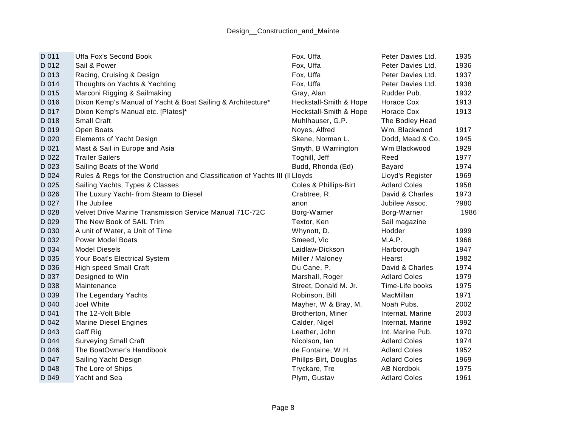| D 011 | Uffa Fox's Second Book                                                        | Fox. Uffa              | Peter Davies Ltd.   | 1935 |
|-------|-------------------------------------------------------------------------------|------------------------|---------------------|------|
| D 012 | Sail & Power                                                                  | Fox, Uffa              | Peter Davies Ltd.   | 1936 |
| D 013 | Racing, Cruising & Design                                                     | Fox, Uffa              | Peter Davies Ltd.   | 1937 |
| D 014 | Thoughts on Yachts & Yachting                                                 | Fox, Uffa              | Peter Davies Ltd.   | 1938 |
| D 015 | Marconi Rigging & Sailmaking                                                  | Gray, Alan             | Rudder Pub.         | 1932 |
| D 016 | Dixon Kemp's Manual of Yacht & Boat Sailing & Architecture*                   | Heckstall-Smith & Hope | Horace Cox          | 1913 |
| D 017 | Dixon Kemp's Manual etc. [Plates]*                                            | Heckstall-Smith & Hope | Horace Cox          | 1913 |
| D 018 | Small Craft                                                                   | Muhlhauser, G.P.       | The Bodley Head     |      |
| D 019 | Open Boats                                                                    | Noyes, Alfred          | Wm. Blackwood       | 1917 |
| D 020 | <b>Elements of Yacht Design</b>                                               | Skene, Norman L.       | Dodd, Mead & Co.    | 1945 |
| D 021 | Mast & Sail in Europe and Asia                                                | Smyth, B Warrington    | Wm Blackwood        | 1929 |
| D 022 | <b>Trailer Sailers</b>                                                        | Toghill, Jeff          | Reed                | 1977 |
| D 023 | Sailing Boats of the World                                                    | Budd, Rhonda (Ed)      | Bayard              | 1974 |
| D 024 | Rules & Regs for the Construction and Classification of Yachts III (II Lloyds |                        | Lloyd's Register    | 1969 |
| D 025 | Sailing Yachts, Types & Classes                                               | Coles & Phillips-Birt  | <b>Adlard Coles</b> | 1958 |
| D 026 | The Luxury Yacht- from Steam to Diesel                                        | Crabtree, R.           | David & Charles     | 1973 |
| D 027 | The Jubilee                                                                   | anon                   | Jubilee Assoc.      | ?980 |
| D 028 | Velvet Drive Marine Transmission Service Manual 71C-72C                       | Borg-Warner            | Borg-Warner         | 1986 |
| D 029 | The New Book of SAIL Trim                                                     | Textor, Ken            | Sail magazine       |      |
| D 030 | A unit of Water, a Unit of Time                                               | Whynott, D.            | Hodder              | 1999 |
| D 032 | <b>Power Model Boats</b>                                                      | Smeed, Vic             | M.A.P.              | 1966 |
| D 034 | <b>Model Diesels</b>                                                          | Laidlaw-Dickson        | Harborough          | 1947 |
| D 035 | Your Boat's Electrical System                                                 | Miller / Maloney       | Hearst              | 1982 |
| D 036 | <b>High speed Small Craft</b>                                                 | Du Cane, P.            | David & Charles     | 1974 |
| D 037 | Designed to Win                                                               | Marshall, Roger        | <b>Adlard Coles</b> | 1979 |
| D 038 | Maintenance                                                                   | Street, Donald M. Jr.  | Time-Life books     | 1975 |
| D 039 | The Legendary Yachts                                                          | Robinson, Bill         | MacMillan           | 1971 |
| D 040 | Joel White                                                                    | Mayher, W & Bray, M.   | Noah Pubs.          | 2002 |
| D 041 | The 12-Volt Bible                                                             | Brotherton, Miner      | Internat, Marine    | 2003 |
| D 042 | <b>Marine Diesel Engines</b>                                                  | Calder, Nigel          | Internat. Marine    | 1992 |
| D 043 | Gaff Rig                                                                      | Leather, John          | Int. Marine Pub.    | 1970 |
| D 044 | <b>Surveying Small Craft</b>                                                  | Nicolson, Ian          | <b>Adlard Coles</b> | 1974 |
| D 046 | The BoatOwner's Handibook                                                     | de Fontaine, W.H.      | <b>Adlard Coles</b> | 1952 |
| D 047 | Sailing Yacht Design                                                          | Phillps-Birt, Douglas  | <b>Adlard Coles</b> | 1969 |
| D 048 | The Lore of Ships                                                             | Tryckare, Tre          | <b>AB Nordbok</b>   | 1975 |
| D 049 | Yacht and Sea                                                                 | Plym, Gustav           | <b>Adlard Coles</b> | 1961 |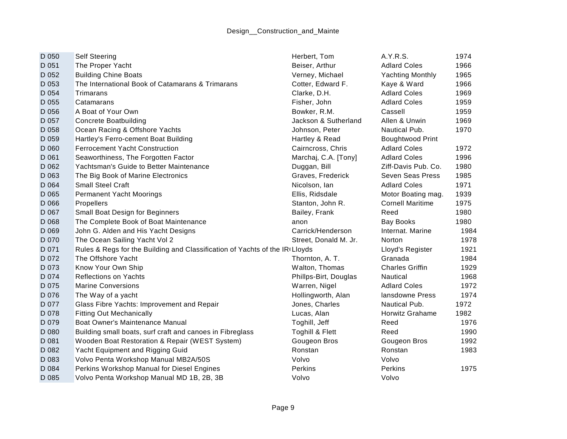| D 050 | <b>Self Steering</b>                                                         | Herbert, Tom          | A.Y.R.S.                | 1974 |
|-------|------------------------------------------------------------------------------|-----------------------|-------------------------|------|
| D 051 | The Proper Yacht                                                             | Beiser, Arthur        | <b>Adlard Coles</b>     | 1966 |
| D 052 | <b>Building Chine Boats</b>                                                  | Verney, Michael       | <b>Yachting Monthly</b> | 1965 |
| D 053 | The International Book of Catamarans & Trimarans                             | Cotter, Edward F.     | Kaye & Ward             | 1966 |
| D 054 | Trimarans                                                                    | Clarke, D.H.          | <b>Adlard Coles</b>     | 1969 |
| D 055 | Catamarans                                                                   | Fisher, John          | <b>Adlard Coles</b>     | 1959 |
| D 056 | A Boat of Your Own                                                           | Bowker, R.M.          | Cassell                 | 1959 |
| D 057 | <b>Concrete Boatbuilding</b>                                                 | Jackson & Sutherland  | Allen & Unwin           | 1969 |
| D 058 | Ocean Racing & Offshore Yachts                                               | Johnson, Peter        | Nautical Pub.           | 1970 |
| D 059 | Hartley's Ferro-cement Boat Building                                         | Hartley & Read        | <b>Boughtwood Print</b> |      |
| D 060 | <b>Ferrocement Yacht Construction</b>                                        | Cairncross, Chris     | <b>Adlard Coles</b>     | 1972 |
| D 061 | Seaworthiness, The Forgotten Factor                                          | Marchaj, C.A. [Tony]  | <b>Adlard Coles</b>     | 1996 |
| D 062 | Yachtsman's Guide to Better Maintenance                                      | Duggan, Bill          | Ziff-Davis Pub. Co.     | 1980 |
| D 063 | The Big Book of Marine Electronics                                           | Graves, Frederick     | Seven Seas Press        | 1985 |
| D 064 | <b>Small Steel Craft</b>                                                     | Nicolson, Ian         | <b>Adlard Coles</b>     | 1971 |
| D 065 | <b>Permanent Yacht Moorings</b>                                              | Ellis, Ridsdale       | Motor Boating mag.      | 1939 |
| D 066 | Propellers                                                                   | Stanton, John R.      | <b>Cornell Maritime</b> | 1975 |
| D 067 | Small Boat Design for Beginners                                              | Bailey, Frank         | Reed                    | 1980 |
| D 068 | The Complete Book of Boat Maintenance                                        | anon                  | <b>Bay Books</b>        | 1980 |
| D 069 | John G. Alden and His Yacht Designs                                          | Carrick/Henderson     | Internat, Marine        | 1984 |
| D 070 | The Ocean Sailing Yacht Vol 2                                                | Street, Donald M. Jr. | Norton                  | 1978 |
| D 071 | Rules & Regs for the Building and Classification of Yachts of the IRI Lloyds |                       | Lloyd's Register        | 1921 |
| D 072 | The Offshore Yacht                                                           | Thornton, A. T.       | Granada                 | 1984 |
| D 073 | Know Your Own Ship                                                           | Walton, Thomas        | <b>Charles Griffin</b>  | 1929 |
| D 074 | <b>Reflections on Yachts</b>                                                 | Phillps-Birt, Douglas | Nautical                | 1968 |
| D 075 | <b>Marine Conversions</b>                                                    | Warren, Nigel         | <b>Adlard Coles</b>     | 1972 |
| D 076 | The Way of a yacht                                                           | Hollingworth, Alan    | lansdowne Press         | 1974 |
| D 077 | Glass Fibre Yachts: Improvement and Repair                                   | Jones, Charles        | Nautical Pub.           | 1972 |
| D 078 | <b>Fitting Out Mechanically</b>                                              | Lucas, Alan           | Horwitz Grahame         | 1982 |
| D 079 | Boat Owner's Maintenance Manual                                              | Toghill, Jeff         | Reed                    | 1976 |
| D 080 | Building small boats, surf craft and canoes in Fibreglass                    | Toghill & Flett       | Reed                    | 1990 |
| D 081 | Wooden Boat Restoration & Repair (WEST System)                               | Gougeon Bros          | Gougeon Bros            | 1992 |
| D 082 | Yacht Equipment and Rigging Guid                                             | Ronstan               | Ronstan                 | 1983 |
| D 083 | Volvo Penta Workshop Manual MB2A/50S                                         | Volvo                 | Volvo                   |      |
| D 084 | Perkins Workshop Manual for Diesel Engines                                   | Perkins               | Perkins                 | 1975 |
| D 085 | Volvo Penta Workshop Manual MD 1B, 2B, 3B                                    | Volvo                 | Volvo                   |      |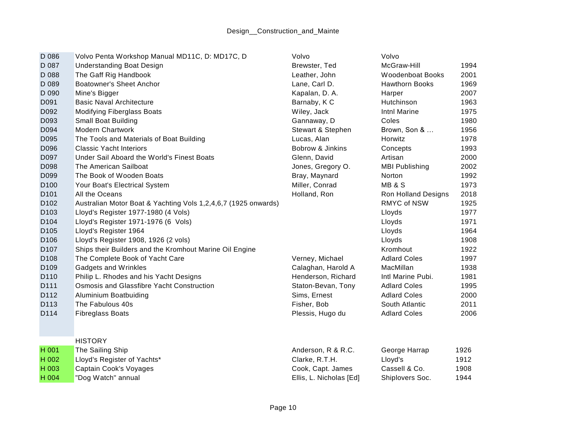| D 086            | Volvo Penta Workshop Manual MD11C, D: MD17C, D                 | Volvo                   | Volvo                      |      |
|------------------|----------------------------------------------------------------|-------------------------|----------------------------|------|
| D 087            | <b>Understanding Boat Design</b>                               | Brewster, Ted           | McGraw-Hill                | 1994 |
| D 088            | The Gaff Rig Handbook                                          | Leather, John           | <b>Woodenboat Books</b>    | 2001 |
| D 089            | <b>Boatowner's Sheet Anchor</b>                                | Lane, Carl D.           | <b>Hawthorn Books</b>      | 1969 |
| D 090            | Mine's Bigger                                                  | Kapalan, D. A.          | Harper                     | 2007 |
| D091             | <b>Basic Naval Architecture</b>                                | Barnaby, K C            | Hutchinson                 | 1963 |
| D092             | <b>Modifying Fiberglass Boats</b>                              | Wiley, Jack             | Intnl Marine               | 1975 |
| D093             | <b>Small Boat Building</b>                                     | Gannaway, D             | Coles                      | 1980 |
| D094             | <b>Modern Chartwork</b>                                        | Stewart & Stephen       | Brown, Son &               | 1956 |
| D095             | The Tools and Materials of Boat Building                       | Lucas, Alan             | Horwitz                    | 1978 |
| D096             | <b>Classic Yacht Interiors</b>                                 | Bobrow & Jinkins        | Concepts                   | 1993 |
| D097             | Under Sail Aboard the World's Finest Boats                     | Glenn, David            | Artisan                    | 2000 |
| D098             | The American Sailboat                                          | Jones, Gregory O.       | <b>MBI Publishing</b>      | 2002 |
| D099             | The Book of Wooden Boats                                       | Bray, Maynard           | Norton                     | 1992 |
| D <sub>100</sub> | Your Boat's Electrical System                                  | Miller, Conrad          | <b>MB &amp; S</b>          | 1973 |
| D <sub>101</sub> | All the Oceans                                                 | Holland, Ron            | <b>Ron Holland Designs</b> | 2018 |
| D <sub>102</sub> | Australian Motor Boat & Yachting Vols 1,2,4,6,7 (1925 onwards) |                         | <b>RMYC of NSW</b>         | 1925 |
| D <sub>103</sub> | Lloyd's Register 1977-1980 (4 Vols)                            |                         | Lloyds                     | 1977 |
| D <sub>104</sub> | Lloyd's Register 1971-1976 (6 Vols)                            |                         | Lloyds                     | 1971 |
| D <sub>105</sub> | Lloyd's Register 1964                                          |                         | Lloyds                     | 1964 |
| D106             | Lloyd's Register 1908, 1926 (2 vols)                           |                         | Lloyds                     | 1908 |
| D <sub>107</sub> | Ships their Builders and the Kromhout Marine Oil Engine        |                         | Kromhout                   | 1922 |
| D108             | The Complete Book of Yacht Care                                | Verney, Michael         | <b>Adlard Coles</b>        | 1997 |
| D <sub>109</sub> | Gadgets and Wrinkles                                           | Calaghan, Harold A      | MacMillan                  | 1938 |
| D110             | Philip L. Rhodes and his Yacht Designs                         | Henderson, Richard      | Intl Marine Pubi.          | 1981 |
| D111             | Osmosis and Glassfibre Yacht Construction                      | Staton-Bevan, Tony      | <b>Adlard Coles</b>        | 1995 |
| D112             | Aluminium Boatbuiding                                          | Sims, Ernest            | <b>Adlard Coles</b>        | 2000 |
| D113             | The Fabulous 40s                                               | Fisher, Bob             | South Atlantic             | 2011 |
| D114             | <b>Fibreglass Boats</b>                                        | Plessis, Hugo du        | <b>Adlard Coles</b>        | 2006 |
|                  | <b>HISTORY</b>                                                 |                         |                            |      |
| H 001            | The Sailing Ship                                               | Anderson, R & R.C.      | George Harrap              | 1926 |
| H 002            | Lloyd's Register of Yachts*                                    | Clarke, R.T.H.          | Lloyd's                    | 1912 |
| H 003            | Captain Cook's Voyages                                         | Cook, Capt. James       | Cassell & Co.              | 1908 |
| H 004            | "Dog Watch" annual                                             | Ellis, L. Nicholas [Ed] | Shiplovers Soc.            | 1944 |
|                  |                                                                |                         |                            |      |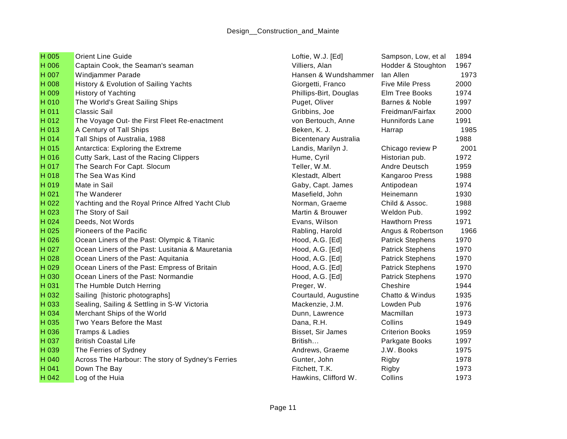| H 005 | <b>Orient Line Guide</b>                          | Loftie, W.J. [Ed]            | Sampson, Low, et al     | 1894 |
|-------|---------------------------------------------------|------------------------------|-------------------------|------|
| H 006 | Captain Cook, the Seaman's seaman                 | Villiers, Alan               | Hodder & Stoughton      | 1967 |
| H 007 | Windjammer Parade                                 | Hansen & Wundshammer         | lan Allen               | 1973 |
| H 008 | History & Evolution of Sailing Yachts             | Giorgetti, Franco            | <b>Five Mile Press</b>  | 2000 |
| H 009 | <b>History of Yachting</b>                        | Phillips-Birt, Douglas       | Elm Tree Books          | 1974 |
| H 010 | The World's Great Sailing Ships                   | Puget, Oliver                | Barnes & Noble          | 1997 |
| H 011 | <b>Classic Sail</b>                               | Gribbins, Joe                | Freidman/Fairfax        | 2000 |
| H 012 | The Voyage Out- the First Fleet Re-enactment      | von Bertouch, Anne           | Hunnifords Lane         | 1991 |
| H 013 | A Century of Tall Ships                           | Beken, K. J.                 | Harrap                  | 1985 |
| H 014 | Tall Ships of Australia, 1988                     | <b>Bicentenary Australia</b> |                         | 1988 |
| H 015 | Antarctica: Exploring the Extreme                 | Landis, Marilyn J.           | Chicago review P        | 2001 |
| H 016 | Cutty Sark, Last of the Racing Clippers           | Hume, Cyril                  | Historian pub.          | 1972 |
| H 017 | The Search For Capt. Slocum                       | Teller, W.M.                 | Andre Deutsch           | 1959 |
| H 018 | The Sea Was Kind                                  | Klestadt, Albert             | Kangaroo Press          | 1988 |
| H 019 | Mate in Sail                                      | Gaby, Capt. James            | Antipodean              | 1974 |
| H 021 | The Wanderer                                      | Masefield, John              | Heinemann               | 1930 |
| H 022 | Yachting and the Royal Prince Alfred Yacht Club   | Norman, Graeme               | Child & Assoc.          | 1988 |
| H 023 | The Story of Sail                                 | Martin & Brouwer             | Weldon Pub.             | 1992 |
| H 024 | Deeds, Not Words                                  | Evans, Wilson                | <b>Hawthorn Press</b>   | 1971 |
| H 025 | Pioneers of the Pacific                           | Rabling, Harold              | Angus & Robertson       | 1966 |
| H 026 | Ocean Liners of the Past: Olympic & Titanic       | Hood, A.G. [Ed]              | <b>Patrick Stephens</b> | 1970 |
| H 027 | Ocean Liners of the Past: Lusitania & Mauretania  | Hood, A.G. [Ed]              | <b>Patrick Stephens</b> | 1970 |
| H 028 | Ocean Liners of the Past: Aquitania               | Hood, A.G. [Ed]              | <b>Patrick Stephens</b> | 1970 |
| H 029 | Ocean Liners of the Past: Empress of Britain      | Hood, A.G. [Ed]              | <b>Patrick Stephens</b> | 1970 |
| H 030 | Ocean Liners of the Past: Normandie               | Hood, A.G. [Ed]              | <b>Patrick Stephens</b> | 1970 |
| H 031 | The Humble Dutch Herring                          | Preger, W.                   | Cheshire                | 1944 |
| H 032 | Sailing [historic photographs]                    | Courtauld, Augustine         | Chatto & Windus         | 1935 |
| H 033 | Sealing, Sailing & Settling in S-W Victoria       | Mackenzie, J.M.              | Lowden Pub              | 1976 |
| H 034 | Merchant Ships of the World                       | Dunn, Lawrence               | Macmillan               | 1973 |
| H 035 | Two Years Before the Mast                         | Dana, R.H.                   | Collins                 | 1949 |
| H 036 | <b>Tramps &amp; Ladies</b>                        | Bisset, Sir James            | <b>Criterion Books</b>  | 1959 |
| H 037 | <b>British Coastal Life</b>                       | British                      | Parkgate Books          | 1997 |
| H 039 | The Ferries of Sydney                             | Andrews, Graeme              | J.W. Books              | 1975 |
| H 040 | Across The Harbour: The story of Sydney's Ferries | Gunter, John                 | Rigby                   | 1978 |
| H 041 | Down The Bay                                      | Fitchett, T.K.               | Rigby                   | 1973 |
| H 042 | Log of the Huia                                   | Hawkins, Clifford W.         | Collins                 | 1973 |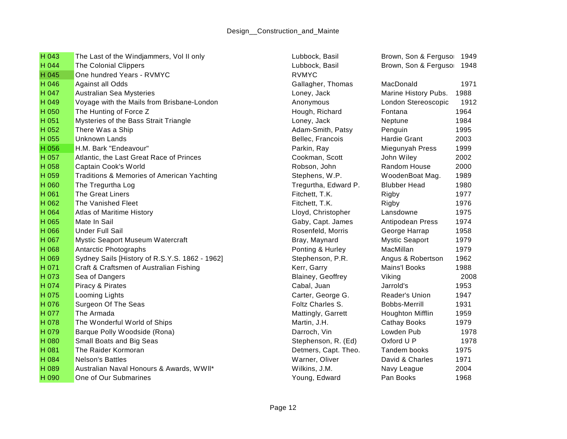| H 043 | The Last of the Windjammers, Vol II only       | Lubbock, Basil       | Brown, Son & Fergusor   | 1949 |
|-------|------------------------------------------------|----------------------|-------------------------|------|
| H 044 | <b>The Colonial Clippers</b>                   | Lubbock, Basil       | Brown, Son & Fergusor   | 1948 |
| H 045 | One hundred Years - RVMYC                      | <b>RVMYC</b>         |                         |      |
| H 046 | <b>Against all Odds</b>                        | Gallagher, Thomas    | MacDonald               | 1971 |
| H 047 | <b>Australian Sea Mysteries</b>                | Loney, Jack          | Marine History Pubs.    | 1988 |
| H 049 | Voyage with the Mails from Brisbane-London     | Anonymous            | London Stereoscopic     | 1912 |
| H 050 | The Hunting of Force Z                         | Hough, Richard       | Fontana                 | 1964 |
| H 051 | Mysteries of the Bass Strait Triangle          | Loney, Jack          | Neptune                 | 1984 |
| H 052 | There Was a Ship                               | Adam-Smith, Patsy    | Penguin                 | 1995 |
| H 055 | <b>Unknown Lands</b>                           | Bellec, Francois     | <b>Hardie Grant</b>     | 2003 |
| H 056 | H.M. Bark "Endeavour"                          | Parkin, Ray          | Miegunyah Press         | 1999 |
| H 057 | Atlantic, the Last Great Race of Princes       | Cookman, Scott       | John Wiley              | 2002 |
| H 058 | Captain Cook's World                           | Robson, John         | Random House            | 2000 |
| H 059 | Traditions & Memories of American Yachting     | Stephens, W.P.       | WoodenBoat Mag.         | 1989 |
| H 060 | The Tregurtha Log                              | Tregurtha, Edward P. | <b>Blubber Head</b>     | 1980 |
| H 061 | <b>The Great Liners</b>                        | Fitchett, T.K.       | Rigby                   | 1977 |
| H 062 | The Vanished Fleet                             | Fitchett, T.K.       | Rigby                   | 1976 |
| H 064 | <b>Atlas of Maritime History</b>               | Lloyd, Christopher   | Lansdowne               | 1975 |
| H 065 | Mate In Sail                                   | Gaby, Capt. James    | Antipodean Press        | 1974 |
| H 066 | <b>Under Full Sail</b>                         | Rosenfeld, Morris    | George Harrap           | 1958 |
| H 067 | Mystic Seaport Museum Watercraft               | Bray, Maynard        | <b>Mystic Seaport</b>   | 1979 |
| H 068 | Antarctic Photographs                          | Ponting & Hurley     | MacMillan               | 1979 |
| H 069 | Sydney Sails [History of R.S.Y.S. 1862 - 1962] | Stephenson, P.R.     | Angus & Robertson       | 1962 |
| H 071 | Craft & Craftsmen of Australian Fishing        | Kerr, Garry          | <b>Mains'l Books</b>    | 1988 |
| H 073 | Sea of Dangers                                 | Blainey, Geoffrey    | Viking                  | 2008 |
| H 074 | Piracy & Pirates                               | Cabal, Juan          | Jarrold's               | 1953 |
| H 075 | Looming Lights                                 | Carter, George G.    | Reader's Union          | 1947 |
| H 076 | Surgeon Of The Seas                            | Foltz Charles S.     | <b>Bobbs-Merrill</b>    | 1931 |
| H 077 | The Armada                                     | Mattingly, Garrett   | <b>Houghton Mifflin</b> | 1959 |
| H 078 | The Wonderful World of Ships                   | Martin, J.H.         | <b>Cathay Books</b>     | 1979 |
| H 079 | Barque Polly Woodside (Rona)                   | Darroch, Vin         | Lowden Pub              | 1978 |
| H 080 | Small Boats and Big Seas                       | Stephenson, R. (Ed)  | Oxford U P              | 1978 |
| H 081 | The Raider Kormoran                            | Detmers, Capt. Theo. | Tandem books            | 1975 |
| H 084 | Nelson's Battles                               | Warner, Oliver       | David & Charles         | 1971 |
| H 089 | Australian Naval Honours & Awards, WWII*       | Wilkins, J.M.        | Navy League             | 2004 |
| H 090 | One of Our Submarines                          | Young, Edward        | Pan Books               | 1968 |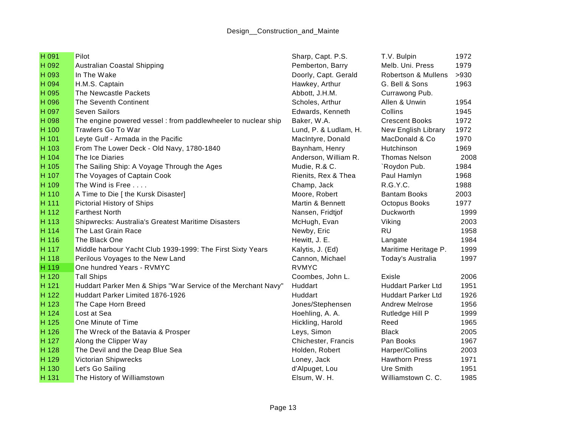| H 091 | Pilot                                                         | Sharp, Capt. P.S.     | T.V. Bulpin               | 1972 |
|-------|---------------------------------------------------------------|-----------------------|---------------------------|------|
| H 092 | Australian Coastal Shipping                                   | Pemberton, Barry      | Melb. Uni. Press          | 1979 |
| H 093 | In The Wake                                                   | Doorly, Capt. Gerald  | Robertson & Mullens       | >930 |
| H 094 | H.M.S. Captain                                                | Hawkey, Arthur        | G. Bell & Sons            | 1963 |
| H 095 | The Newcastle Packets                                         | Abbott, J.H.M.        | Currawong Pub.            |      |
| H 096 | <b>The Seventh Continent</b>                                  | Scholes, Arthur       | Allen & Unwin             | 1954 |
| H 097 | <b>Seven Sailors</b>                                          | Edwards, Kenneth      | Collins                   | 1945 |
| H 098 | The engine powered vessel: from paddlewheeler to nuclear ship | Baker, W.A.           | <b>Crescent Books</b>     | 1972 |
| H 100 | Trawlers Go To War                                            | Lund, P. & Ludlam, H. | New English Library       | 1972 |
| H 101 | Leyte Gulf - Armada in the Pacific                            | MacIntyre, Donald     | MacDonald & Co            | 1970 |
| H 103 | From The Lower Deck - Old Navy, 1780-1840                     | Baynham, Henry        | Hutchinson                | 1969 |
| H 104 | The Ice Diaries                                               | Anderson, William R.  | <b>Thomas Nelson</b>      | 2008 |
| H 105 | The Sailing Ship: A Voyage Through the Ages                   | Mudie, R.& C.         | `Roydon Pub.              | 1984 |
| H 107 | The Voyages of Captain Cook                                   | Rienits, Rex & Thea   | Paul Hamlyn               | 1968 |
| H 109 | The Wind is Free                                              | Champ, Jack           | R.G.Y.C.                  | 1988 |
| H 110 | A Time to Die [ the Kursk Disaster]                           | Moore, Robert         | <b>Bantam Books</b>       | 2003 |
| H 111 | Pictorial History of Ships                                    | Martin & Bennett      | Octopus Books             | 1977 |
| H 112 | <b>Farthest North</b>                                         | Nansen, Fridtjof      | Duckworth                 | 1999 |
| H 113 | Shipwrecks: Australia's Greatest Maritime Disasters           | McHugh, Evan          | Viking                    | 2003 |
| H 114 | The Last Grain Race                                           | Newby, Eric           | <b>RU</b>                 | 1958 |
| H 116 | The Black One                                                 | Hewitt, J. E.         | Langate                   | 1984 |
| H 117 | Middle harbour Yacht Club 1939-1999: The First Sixty Years    | Kalytis, J. (Ed)      | Maritime Heritage P.      | 1999 |
| H 118 | Perilous Voyages to the New Land                              | Cannon, Michael       | Today's Australia         | 1997 |
| H 119 | One hundred Years - RVMYC                                     | <b>RVMYC</b>          |                           |      |
| H 120 | <b>Tall Ships</b>                                             | Coombes, John L.      | Exisle                    | 2006 |
| H 121 | Huddart Parker Men & Ships "War Service of the Merchant Navy" | Huddart               | <b>Huddart Parker Ltd</b> | 1951 |
| H 122 | Huddart Parker Limited 1876-1926                              | Huddart               | <b>Huddart Parker Ltd</b> | 1926 |
| H 123 | The Cape Horn Breed                                           | Jones/Stephensen      | <b>Andrew Melrose</b>     | 1956 |
| H 124 | Lost at Sea                                                   | Hoehling, A. A.       | Rutledge Hill P           | 1999 |
| H 125 | One Minute of Time                                            | Hickling, Harold      | Reed                      | 1965 |
| H 126 | The Wreck of the Batavia & Prosper                            | Leys, Simon           | <b>Black</b>              | 2005 |
| H 127 | Along the Clipper Way                                         | Chichester, Francis   | Pan Books                 | 1967 |
| H 128 | The Devil and the Deap Blue Sea                               | Holden, Robert        | Harper/Collins            | 2003 |
| H 129 | <b>Victorian Shipwrecks</b>                                   | Loney, Jack           | <b>Hawthorn Press</b>     | 1971 |
| H 130 | Let's Go Sailing                                              | d'Alpuget, Lou        | Ure Smith                 | 1951 |
| H 131 | The History of Williamstown                                   | Elsum, W. H.          | Williamstown C. C.        | 1985 |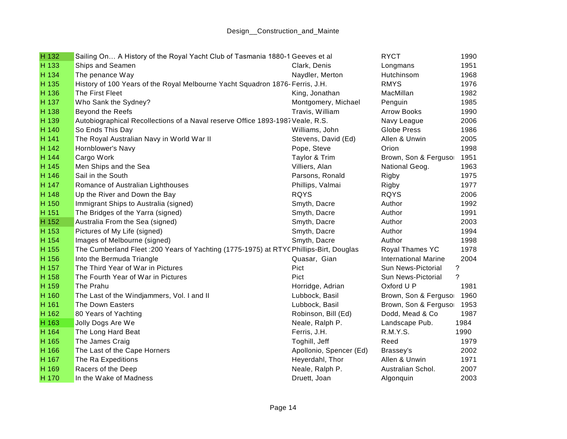| H 132 | Sailing On A History of the Royal Yacht Club of Tasmania 1880-1 Geeves et al            |                         | <b>RYCT</b>                 | 1990        |
|-------|-----------------------------------------------------------------------------------------|-------------------------|-----------------------------|-------------|
| H 133 | Ships and Seamen                                                                        | Clark, Denis            | Longmans                    | 1951        |
| H 134 | The penance Way                                                                         | Naydler, Merton         | Hutchinsom                  | 1968        |
| H 135 | History of 100 Years of the Royal Melbourne Yacht Squadron 1876- Ferris, J.H.           |                         | <b>RMYS</b>                 | 1976        |
| H 136 | The First Fleet                                                                         | King, Jonathan          | MacMillan                   | 1982        |
| H 137 | Who Sank the Sydney?                                                                    | Montgomery, Michael     | Penguin                     | 1985        |
| H 138 | Beyond the Reefs                                                                        | Travis, William         | <b>Arrow Books</b>          | 1990        |
| H 139 | Autobiographical Recollections of a Naval reserve Office 1893-1987 Veale, R.S.          |                         | Navy League                 | 2006        |
| H 140 | So Ends This Day                                                                        | Williams, John          | Globe Press                 | 1986        |
| H 141 | The Royal Australian Navy in World War II                                               | Stevens, David (Ed)     | Allen & Unwin               | 2005        |
| H 142 | Hornblower's Navy                                                                       | Pope, Steve             | Orion                       | 1998        |
| H 144 | Cargo Work                                                                              | Taylor & Trim           | Brown, Son & Fergusor       | 1951        |
| H 145 | Men Ships and the Sea                                                                   | Villiers, Alan          | National Geog.              | 1963        |
| H 146 | Sail in the South                                                                       | Parsons, Ronald         | Rigby                       | 1975        |
| H 147 | Romance of Australian Lighthouses                                                       | Phillips, Valmai        | Rigby                       | 1977        |
| H 148 | Up the River and Down the Bay                                                           | <b>RQYS</b>             | <b>RQYS</b>                 | 2006        |
| H 150 | Immigrant Ships to Australia (signed)                                                   | Smyth, Dacre            | Author                      | 1992        |
| H 151 | The Bridges of the Yarra (signed)                                                       | Smyth, Dacre            | Author                      | 1991        |
| H 152 | Australia From the Sea (signed)                                                         | Smyth, Dacre            | Author                      | 2003        |
| H 153 | Pictures of My Life (signed)                                                            | Smyth, Dacre            | Author                      | 1994        |
| H 154 | Images of Melbourne (signed)                                                            | Smyth, Dacre            | Author                      | 1998        |
| H 155 | The Cumberland Fleet : 200 Years of Yachting (1775-1975) at RTYC Phillips-Birt, Douglas |                         | Royal Thames YC             | 1978        |
| H 156 | Into the Bermuda Triangle                                                               | Quasar, Gian            | <b>International Marine</b> | 2004        |
| H 157 | The Third Year of War in Pictures                                                       | Pict                    | Sun News-Pictorial          | ?           |
| H 158 | The Fourth Year of War in Pictures                                                      | Pict                    | Sun News-Pictorial          | $\tilde{?}$ |
| H 159 | The Prahu                                                                               | Horridge, Adrian        | Oxford U P                  | 1981        |
| H 160 | The Last of the Windjammers, Vol. I and II                                              | Lubbock, Basil          | Brown, Son & Fergusor       | 1960        |
| H 161 | The Down Easters                                                                        | Lubbock, Basil          | Brown, Son & Fergusor       | 1953        |
| H 162 | 80 Years of Yachting                                                                    | Robinson, Bill (Ed)     | Dodd, Mead & Co             | 1987        |
| H 163 | Jolly Dogs Are We                                                                       | Neale, Ralph P.         | Landscape Pub.              | 1984        |
| H 164 | The Long Hard Beat                                                                      | Ferris, J.H.            | R.M.Y.S.                    | 1990        |
| H 165 | The James Craig                                                                         | Toghill, Jeff           | Reed                        | 1979        |
| H 166 | The Last of the Cape Horners                                                            | Apollonio, Spencer (Ed) | Brassey's                   | 2002        |
| H 167 | The Ra Expeditions                                                                      | Heyerdahl, Thor         | Allen & Unwin               | 1971        |
| H 169 | Racers of the Deep                                                                      | Neale, Ralph P.         | Australian Schol.           | 2007        |
| H 170 | In the Wake of Madness                                                                  | Druett, Joan            | Algonguin                   | 2003        |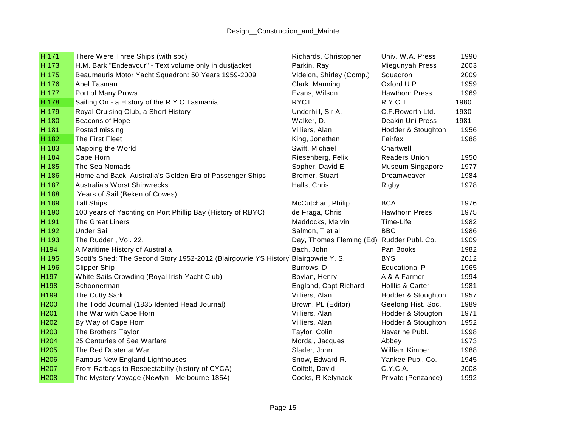| H 171            | There Were Three Ships (with spc)                                                   | Richards, Christopher                     | Univ. W.A. Press      | 1990 |
|------------------|-------------------------------------------------------------------------------------|-------------------------------------------|-----------------------|------|
| H 173            | H.M. Bark "Endeavour" - Text volume only in dustjacket                              | Parkin, Ray                               | Miegunyah Press       | 2003 |
| H 175            | Beaumauris Motor Yacht Squadron: 50 Years 1959-2009                                 | Videion, Shirley (Comp.)                  | Squadron              | 2009 |
| H 176            | Abel Tasman                                                                         | Clark, Manning                            | Oxford U P            | 1959 |
| H 177            | Port of Many Prows                                                                  | Evans, Wilson                             | <b>Hawthorn Press</b> | 1969 |
| H 178            | Sailing On - a History of the R.Y.C.Tasmania                                        | <b>RYCT</b>                               | R.Y.C.T.              | 1980 |
| H 179            | Royal Cruising Club, a Short History                                                | Underhill, Sir A.                         | C.F.Roworth Ltd.      | 1930 |
| H 180            | Beacons of Hope                                                                     | Walker, D.                                | Deakin Uni Press      | 1981 |
| H 181            | Posted missing                                                                      | Villiers, Alan                            | Hodder & Stoughton    | 1956 |
| H 182            | The First Fleet                                                                     | King, Jonathan                            | Fairfax               | 1988 |
| H 183            | Mapping the World                                                                   | Swift, Michael                            | Chartwell             |      |
| H 184            | Cape Horn                                                                           | Riesenberg, Felix                         | <b>Readers Union</b>  | 1950 |
| H 185            | The Sea Nomads                                                                      | Sopher, David E.                          | Museum Singapore      | 1977 |
| H 186            | Home and Back: Australia's Golden Era of Passenger Ships                            | Bremer, Stuart                            | Dreamweaver           | 1984 |
| H 187            | Australia's Worst Shipwrecks                                                        | Halls, Chris                              | Rigby                 | 1978 |
| H 188            | Years of Sail (Beken of Cowes)                                                      |                                           |                       |      |
| H 189            | <b>Tall Ships</b>                                                                   | McCutchan, Philip                         | <b>BCA</b>            | 1976 |
| H 190            | 100 years of Yachting on Port Phillip Bay (History of RBYC)                         | de Fraga, Chris                           | <b>Hawthorn Press</b> | 1975 |
| H 191            | The Great Liners                                                                    | Maddocks, Melvin                          | Time-Life             | 1982 |
| H 192            | <b>Under Sail</b>                                                                   | Salmon, T et al                           | <b>BBC</b>            | 1986 |
| H 193            | The Rudder, Vol. 22,                                                                | Day, Thomas Fleming (Ed) Rudder Publ. Co. |                       | 1909 |
| H194             | A Maritime History of Australia                                                     | Bach, John                                | Pan Books             | 1982 |
| H 195            | Scott's Shed: The Second Story 1952-2012 (Blairgowrie YS History) Blairgowrie Y. S. |                                           | <b>BYS</b>            | 2012 |
| H 196            | <b>Clipper Ship</b>                                                                 | Burrows, D                                | <b>Educational P</b>  | 1965 |
| H197             | White Sails Crowding (Royal Irish Yacht Club)                                       | Boylan, Henry                             | A & A Farmer          | 1994 |
| H198             | Schoonerman                                                                         | England, Capt Richard                     | Holllis & Carter      | 1981 |
| H199             | The Cutty Sark                                                                      | Villiers, Alan                            | Hodder & Stoughton    | 1957 |
| H200             | The Todd Journal (1835 Idented Head Journal)                                        | Brown, PL (Editor)                        | Geelong Hist. Soc.    | 1989 |
| H201             | The War with Cape Horn                                                              | Villiers, Alan                            | Hodder & Stougton     | 1971 |
| H202             | By Way of Cape Horn                                                                 | Villiers, Alan                            | Hodder & Stoughton    | 1952 |
| H203             | The Brothers Taylor                                                                 | Taylor, Colin                             | Navarine Publ.        | 1998 |
| H <sub>204</sub> | 25 Centuries of Sea Warfare                                                         | Mordal, Jacques                           | Abbey                 | 1973 |
| H <sub>205</sub> | The Red Duster at War                                                               | Slader, John                              | William Kimber        | 1988 |
| H206             | Famous New England Lighthouses                                                      | Snow, Edward R.                           | Yankee Publ. Co.      | 1945 |
| H207             | From Ratbags to Respectabilty (history of CYCA)                                     | Colfelt, David                            | C.Y.C.A.              | 2008 |
| H208             | The Mystery Voyage (Newlyn - Melbourne 1854)                                        | Cocks, R Kelynack                         | Private (Penzance)    | 1992 |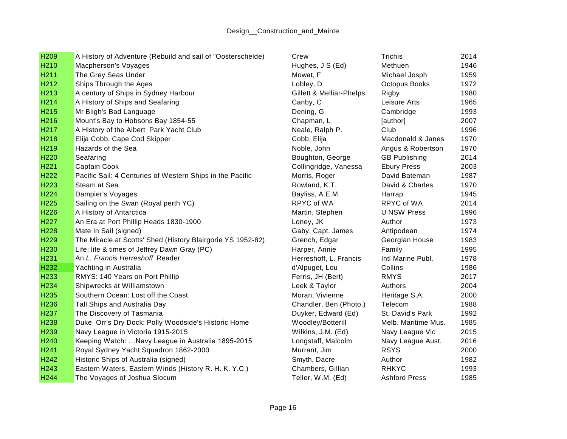| H <sub>209</sub> | A History of Adventure (Rebuild and sail of "Oosterschelde) | Crew                     | Trichis              | 2014 |
|------------------|-------------------------------------------------------------|--------------------------|----------------------|------|
| H210             | Macpherson's Voyages                                        | Hughes, J S (Ed)         | Methuen              | 1946 |
| H211             | The Grey Seas Under                                         | Mowat, F                 | Michael Josph        | 1959 |
| H212             | Ships Through the Ages                                      | Lobley, D                | Octopus Books        | 1972 |
| H213             | A century of Ships in Sydney Harbour                        | Gillett & Melliar-Phelps | Rigby                | 1980 |
| H214             | A History of Ships and Seafaring                            | Canby, C                 | Leisure Arts         | 1965 |
| H215             | Mr Bligh's Bad Language                                     | Dening, G                | Cambridge            | 1993 |
| H216             | Mount's Bay to Hobsons Bay 1854-55                          | Chapman, L               | [author]             | 2007 |
| H217             | A History of the Albert Park Yacht Club                     | Neale, Ralph P.          | Club                 | 1996 |
| H218             | Elija Cobb, Cape Cod Skipper                                | Cobb, Elija              | Macdonald & Janes    | 1970 |
| H219             | Hazards of the Sea                                          | Noble, John              | Angus & Robertson    | 1970 |
| H <sub>220</sub> | Seafaring                                                   | Boughton, George         | <b>GB Publishing</b> | 2014 |
| H221             | Captain Cook                                                | Collingridge, Vanessa    | <b>Ebury Press</b>   | 2003 |
| H222             | Pacific Sail: 4 Centuries of Western Ships in the Pacific   | Morris, Roger            | David Bateman        | 1987 |
| H223             | Steam at Sea                                                | Rowland, K.T.            | David & Charles      | 1970 |
| H224             | Dampier's Voyages                                           | Bayliss, A.E.M.          | Harrap               | 1945 |
| H225             | Sailing on the Swan (Royal perth YC)                        | RPYC of WA               | RPYC of WA           | 2014 |
| H226             | A History of Antarctica                                     | Martin, Stephen          | <b>U NSW Press</b>   | 1996 |
| H <sub>227</sub> | An Era at Port Phillip Heads 1830-1900                      | Loney, JK                | Author               | 1973 |
| H228             | Mate In Sail (signed)                                       | Gaby, Capt. James        | Antipodean           | 1974 |
| H229             | The Miracle at Scotts' Shed (History Blairgorie YS 1952-82) | Grench, Edgar            | Georgian House       | 1983 |
| H230             | Life: life & times of Jeffrey Dawn Gray (PC)                | Harper, Annie            | Family               | 1995 |
| H231             | An L. Francis Herreshoff Reader                             | Herreshoff, L. Francis   | Intl Marine Publ.    | 1978 |
| H232             | Yachting in Australia                                       | d'Alpuget, Lou           | Collins              | 1986 |
| H233             | RMYS: 140 Years on Port Phillip                             | Ferris, JH (Bert)        | <b>RMYS</b>          | 2017 |
| H234             | Shipwrecks at Williamstown                                  | Leek & Taylor            | Authors              | 2004 |
| H235             | Southern Ocean: Lost off the Coast                          | Moran, Vivienne          | Heritage S.A.        | 2000 |
| H236             | Tall Ships and Australia Day                                | Chandler, Ben (Photo.)   | Telecom              | 1988 |
| H237             | The Discovery of Tasmania                                   | Duyker, Edward (Ed)      | St. David's Park     | 1992 |
| H238             | Duke Orr's Dry Dock: Polly Woodside's Historic Home         | Woodley/Botterill        | Melb. Maritime Mus.  | 1985 |
| H <sub>239</sub> | Navy League in Victoria 1915-2015                           | Wilkins, J.M. (Ed)       | Navy League Vic      | 2015 |
| H <sub>240</sub> | Keeping Watch:  Navy League in Australia 1895-2015          | Longstaff, Malcolm       | Navy League Aust.    | 2016 |
| H241             | Royal Sydney Yacht Squadron 1862-2000                       | Murrant, Jim             | <b>RSYS</b>          | 2000 |
| H <sub>242</sub> | Historic Ships of Australia (signed)                        | Smyth, Dacre             | Author               | 1982 |
| H243             | Eastern Waters, Eastern Winds (History R. H. K. Y.C.)       | Chambers, Gillian        | <b>RHKYC</b>         | 1993 |
| H244             | The Voyages of Joshua Slocum                                | Teller, W.M. (Ed)        | <b>Ashford Press</b> | 1985 |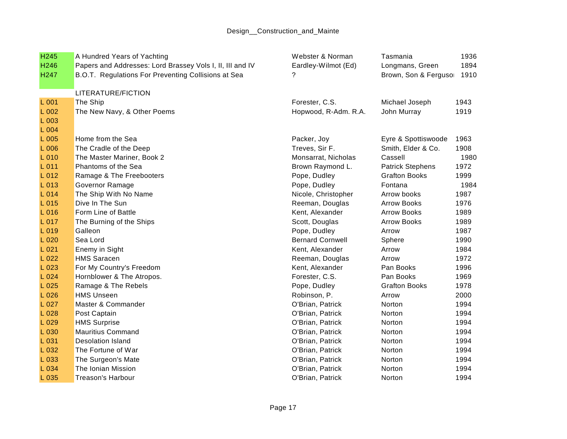| H <sub>245</sub> | A Hundred Years of Yachting                               | Webster & Norman        | Tasmania                | 1936 |
|------------------|-----------------------------------------------------------|-------------------------|-------------------------|------|
| H246             | Papers and Addresses: Lord Brassey Vols I, II, III and IV | Eardley-Wilmot (Ed)     | Longmans, Green         | 1894 |
| H <sub>247</sub> | B.O.T. Regulations For Preventing Collisions at Sea       |                         | Brown, Son & Fergusor   | 1910 |
|                  | LITERATURE/FICTION                                        |                         |                         |      |
| L 001            | The Ship                                                  | Forester, C.S.          | Michael Joseph          | 1943 |
| L 002            | The New Navy, & Other Poems                               | Hopwood, R-Adm. R.A.    | John Murray             | 1919 |
| L 003            |                                                           |                         |                         |      |
| L 004            |                                                           |                         |                         |      |
| L 005            | Home from the Sea                                         | Packer, Joy             | Eyre & Spottiswoode     | 1963 |
| L 006            | The Cradle of the Deep                                    | Treves, Sir F.          | Smith, Elder & Co.      | 1908 |
| L 010            | The Master Mariner, Book 2                                | Monsarrat, Nicholas     | Cassell                 | 1980 |
| $L$ 011          | Phantoms of the Sea                                       | Brown Raymond L.        | <b>Patrick Stephens</b> | 1972 |
| L 012            | Ramage & The Freebooters                                  | Pope, Dudley            | <b>Grafton Books</b>    | 1999 |
| L 013            | Governor Ramage                                           | Pope, Dudley            | Fontana                 | 1984 |
| L 014            | The Ship With No Name                                     | Nicole, Christopher     | Arrow books             | 1987 |
| $L$ 015          | Dive In The Sun                                           | Reeman, Douglas         | <b>Arrow Books</b>      | 1976 |
| L 016            | Form Line of Battle                                       | Kent, Alexander         | <b>Arrow Books</b>      | 1989 |
| L 017            | The Burning of the Ships                                  | Scott, Douglas          | <b>Arrow Books</b>      | 1989 |
| L 019            | Galleon                                                   | Pope, Dudley            | Arrow                   | 1987 |
| L 020            | Sea Lord                                                  | <b>Bernard Cornwell</b> | Sphere                  | 1990 |
| L 021            | Enemy in Sight                                            | Kent, Alexander         | Arrow                   | 1984 |
| L022             | <b>HMS Saracen</b>                                        | Reeman, Douglas         | Arrow                   | 1972 |
| L023             | For My Country's Freedom                                  | Kent, Alexander         | Pan Books               | 1996 |
| L024             | Hornblower & The Atropos.                                 | Forester, C.S.          | Pan Books               | 1969 |
| L025             | Ramage & The Rebels                                       | Pope, Dudley            | <b>Grafton Books</b>    | 1978 |
| L026             | <b>HMS Unseen</b>                                         | Robinson, P.            | Arrow                   | 2000 |
| L 027            | Master & Commander                                        | O'Brian, Patrick        | Norton                  | 1994 |
| L 028            | Post Captain                                              | O'Brian, Patrick        | Norton                  | 1994 |
| L 029            | <b>HMS Surprise</b>                                       | O'Brian, Patrick        | Norton                  | 1994 |
| L 030            | <b>Mauritius Command</b>                                  | O'Brian, Patrick        | Norton                  | 1994 |
| L 031            | <b>Desolation Island</b>                                  | O'Brian, Patrick        | Norton                  | 1994 |
| L 032            | The Fortune of War                                        | O'Brian, Patrick        | Norton                  | 1994 |
| L 033            | The Surgeon's Mate                                        | O'Brian, Patrick        | Norton                  | 1994 |
| L 034            | The Ionian Mission                                        | O'Brian, Patrick        | Norton                  | 1994 |
| L 035            | Treason's Harbour                                         | O'Brian, Patrick        | Norton                  | 1994 |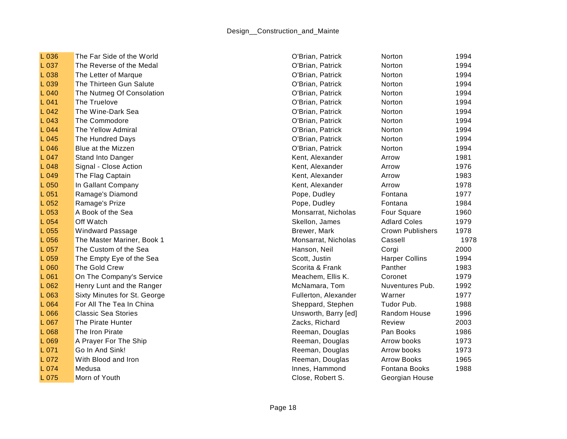| L 036 | The Far Side of the World    | O'Brian, Patrick     | Norton                  | 1994 |
|-------|------------------------------|----------------------|-------------------------|------|
| L 037 | The Reverse of the Medal     | O'Brian, Patrick     | Norton                  | 1994 |
| L 038 | The Letter of Marque         | O'Brian, Patrick     | Norton                  | 1994 |
| L 039 | The Thirteen Gun Salute      | O'Brian, Patrick     | Norton                  | 1994 |
| L 040 | The Nutmeg Of Consolation    | O'Brian, Patrick     | Norton                  | 1994 |
| L041  | The Truelove                 | O'Brian, Patrick     | Norton                  | 1994 |
| L042  | The Wine-Dark Sea            | O'Brian, Patrick     | Norton                  | 1994 |
| L 043 | The Commodore                | O'Brian, Patrick     | Norton                  | 1994 |
| L 044 | The Yellow Admiral           | O'Brian, Patrick     | Norton                  | 1994 |
| L 045 | The Hundred Days             | O'Brian, Patrick     | Norton                  | 1994 |
| L046  | Blue at the Mizzen           | O'Brian, Patrick     | Norton                  | 1994 |
| L 047 | Stand Into Danger            | Kent, Alexander      | Arrow                   | 1981 |
| L 048 | Signal - Close Action        | Kent, Alexander      | Arrow                   | 1976 |
| L 049 | The Flag Captain             | Kent, Alexander      | Arrow                   | 1983 |
| L 050 | In Gallant Company           | Kent, Alexander      | Arrow                   | 1978 |
| L 051 | Ramage's Diamond             | Pope, Dudley         | Fontana                 | 1977 |
| L052  | Ramage's Prize               | Pope, Dudley         | Fontana                 | 1984 |
| L 053 | A Book of the Sea            | Monsarrat, Nicholas  | Four Square             | 1960 |
| L 054 | Off Watch                    | Skellon, James       | <b>Adlard Coles</b>     | 1979 |
| L 055 | <b>Windward Passage</b>      | Brewer, Mark         | <b>Crown Publishers</b> | 1978 |
| L 056 | The Master Mariner, Book 1   | Monsarrat, Nicholas  | Cassell                 | 1978 |
| L 057 | The Custom of the Sea        | Hanson, Neil         | Corgi                   | 2000 |
| L 059 | The Empty Eye of the Sea     | Scott, Justin        | <b>Harper Collins</b>   | 1994 |
| L 060 | The Gold Crew                | Scorita & Frank      | Panther                 | 1983 |
| L 061 | On The Company's Service     | Meachem, Ellis K.    | Coronet                 | 1979 |
| L062  | Henry Lunt and the Ranger    | McNamara, Tom        | Nuventures Pub.         | 1992 |
| L 063 | Sixty Minutes for St. George | Fullerton, Alexander | Warner                  | 1977 |
| L 064 | For All The Tea In China     | Sheppard, Stephen    | Tudor Pub.              | 1988 |
| L 066 | <b>Classic Sea Stories</b>   | Unsworth, Barry [ed] | Random House            | 1996 |
| L 067 | The Pirate Hunter            | Zacks, Richard       | Review                  | 2003 |
| L 068 | The Iron Pirate              | Reeman, Douglas      | Pan Books               | 1986 |
| L 069 | A Prayer For The Ship        | Reeman, Douglas      | Arrow books             | 1973 |
| L 071 | Go In And Sink!              | Reeman, Douglas      | Arrow books             | 1973 |
| L 072 | With Blood and Iron          | Reeman, Douglas      | <b>Arrow Books</b>      | 1965 |
| L 074 | Medusa                       | Innes, Hammond       | Fontana Books           | 1988 |
| L 075 | Morn of Youth                | Close, Robert S.     | Georgian House          |      |
|       |                              |                      |                         |      |

| atrick         | Norton                  | 1994 |
|----------------|-------------------------|------|
| atrick         | <b>Norton</b>           | 1994 |
| atrick         | <b>Norton</b>           | 1994 |
| atrick         | Norton                  | 1994 |
| atrick         | Norton                  | 1994 |
| atrick         | Norton                  | 1994 |
| atrick         | Norton                  | 1994 |
| atrick         | Norton                  | 1994 |
| atrick         | Norton                  | 1994 |
| atrick         | Norton                  | 1994 |
| atrick         | Norton                  | 1994 |
| ander          | Arrow                   | 1981 |
| ander          | Arrow                   | 1976 |
| ander          | Arrow                   | 1983 |
| ander          | Arrow                   | 1978 |
| lley           | Fontana                 | 1977 |
| lley           | Fontana                 | 1984 |
| , Nicholas     | Four Square             | 1960 |
| ames           | <b>Adlard Coles</b>     | 1979 |
| ark            | <b>Crown Publishers</b> | 1978 |
| , Nicholas     | Cassell                 | 197  |
| leil           | Corgi                   | 2000 |
| in             | <b>Harper Collins</b>   | 1994 |
| Frank          | Panther                 | 1983 |
| Ellis K.       | Coronet                 | 1979 |
| a, Tom         | Nuventures Pub.         | 1992 |
| Alexander      | Warner                  | 1977 |
| Stephen        | Tudor Pub.              | 1988 |
| Barry [ed]     | Random House            | 1996 |
| hard:          | Review                  | 2003 |
| <b>Douglas</b> | Pan Books               | 1986 |
| <b>Douglas</b> | Arrow books             | 1973 |
| <b>Douglas</b> | Arrow books             | 1973 |
| <b>Douglas</b> | <b>Arrow Books</b>      | 1965 |
| nmond          | Fontana Books           | 1988 |
| pert S.        | Georgian House          |      |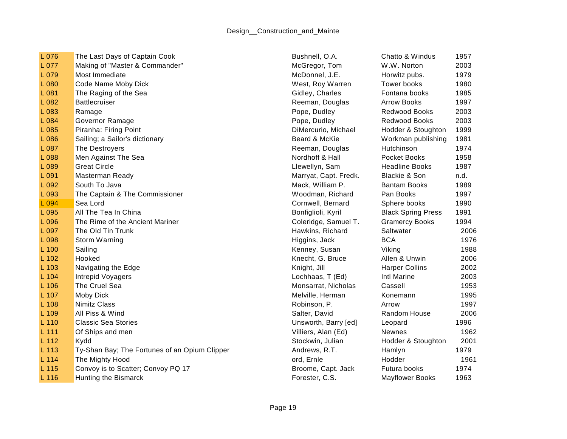| L 076   | The Last Days of Captain Cook                 | Bushnell, O.A.        | Chatto & Windus           | 1957 |
|---------|-----------------------------------------------|-----------------------|---------------------------|------|
| L 077   | Making of "Master & Commander"                | McGregor, Tom         | W.W. Norton               | 2003 |
| L 079   | Most Immediate                                | McDonnel, J.E.        | Horwitz pubs.             | 1979 |
| L 080   | Code Name Moby Dick                           | West, Roy Warren      | Tower books               | 1980 |
| L 081   | The Raging of the Sea                         | Gidley, Charles       | Fontana books             | 1985 |
| L 082   | <b>Battlecruiser</b>                          | Reeman, Douglas       | <b>Arrow Books</b>        | 1997 |
| L 083   | Ramage                                        | Pope, Dudley          | Redwood Books             | 2003 |
| L 084   | Governor Ramage                               | Pope, Dudley          | Redwood Books             | 2003 |
| L 085   | Piranha: Firing Point                         | DiMercurio, Michael   | Hodder & Stoughton        | 1999 |
| L 086   | Sailing; a Sailor's dictionary                | Beard & McKie         | Workman publishing        | 1981 |
| L 087   | The Destroyers                                | Reeman, Douglas       | Hutchinson                | 1974 |
| L 088   | Men Against The Sea                           | Nordhoff & Hall       | Pocket Books              | 1958 |
| L 089   | <b>Great Circle</b>                           | Llewellyn, Sam        | <b>Headline Books</b>     | 1987 |
| L 091   | Masterman Ready                               | Marryat, Capt. Fredk. | Blackie & Son             | n.d. |
| L 092   | South To Java                                 | Mack, William P.      | <b>Bantam Books</b>       | 1989 |
| L 093   | The Captain & The Commissioner                | Woodman, Richard      | Pan Books                 | 1997 |
| L 094   | Sea Lord                                      | Cornwell, Bernard     | Sphere books              | 1990 |
| L 095   | All The Tea In China                          | Bonfiglioli, Kyril    | <b>Black Spring Press</b> | 1991 |
| L 096   | The Rime of the Ancient Mariner               | Coleridge, Samuel T.  | <b>Gramercy Books</b>     | 1994 |
| L 097   | The Old Tin Trunk                             | Hawkins, Richard      | Saltwater                 | 2006 |
| L 098   | Storm Warning                                 | Higgins, Jack         | <b>BCA</b>                | 1976 |
| L 100   | Sailing                                       | Kenney, Susan         | Viking                    | 1988 |
| L 102   | Hooked                                        | Knecht, G. Bruce      | Allen & Unwin             | 2006 |
| L 103   | Navigating the Edge                           | Knight, Jill          | <b>Harper Collins</b>     | 2002 |
| L 104   | Intrepid Voyagers                             | Lochhaas, T (Ed)      | Intl Marine               | 2003 |
| L 106   | The Cruel Sea                                 | Monsarrat, Nicholas   | Cassell                   | 1953 |
| L 107   | Moby Dick                                     | Melville, Herman      | Konemann                  | 1995 |
| L 108   | <b>Nimitz Class</b>                           | Robinson, P.          | Arrow                     | 1997 |
| L 109   | All Piss & Wind                               | Salter, David         | Random House              | 2006 |
| L 110   | <b>Classic Sea Stories</b>                    | Unsworth, Barry [ed]  | Leopard                   | 1996 |
| L 111   | Of Ships and men                              | Villiers, Alan (Ed)   | <b>Newnes</b>             | 1962 |
| $L$ 112 | Kydd                                          | Stockwin, Julian      | Hodder & Stoughton        | 2001 |
| L 113   | Ty-Shan Bay; The Fortunes of an Opium Clipper | Andrews, R.T.         | Hamlyn                    | 1979 |
| L 114   | The Mighty Hood                               | ord, Ernle            | Hodder                    | 1961 |
| L 115   | Convoy is to Scatter; Convoy PQ 17            | Broome, Capt. Jack    | Futura books              | 1974 |
| L 116   | Hunting the Bismarck                          | Forester, C.S.        | <b>Mayflower Books</b>    | 1963 |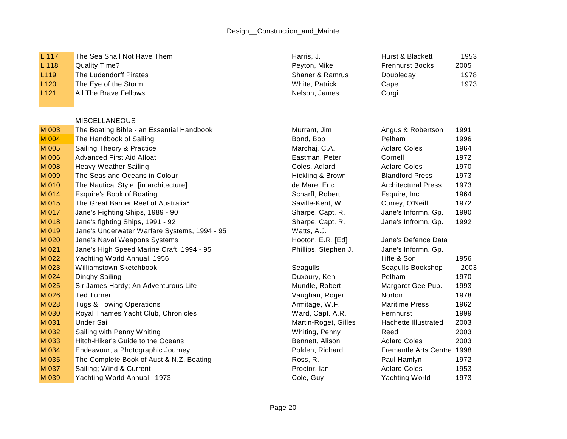## Design\_\_Construction\_and\_Mainte

| L 117 | The Sea Shall Not Have Them | Harris. J. | Hurst & Blackett | 1953 |
|-------|-----------------------------|------------|------------------|------|
|-------|-----------------------------|------------|------------------|------|

- L 118 Quality Time? **Peyton, Mike Frenchurst Books 2005**
- L119 The Ludendorff Pirates Shaner & Ramrus Doubleday 1978
- L120 The Eye of the Storm Cape 1973 Cape 1973 White, Patrick Cape 1973
- L121 All The Brave Fellows Nelson, James Corpic All The Brave Fellows Nelson, James

## MISCELLANEOUS

| M 003 | The Boating Bible - an Essential Handbook    | Murrant, Jim         | Angus & Robertson          | 1991 |
|-------|----------------------------------------------|----------------------|----------------------------|------|
| M 004 | The Handbook of Sailing                      | Bond, Bob            | Pelham                     | 1996 |
| M 005 | Sailing Theory & Practice                    | Marchaj, C.A.        | <b>Adlard Coles</b>        | 1964 |
| M 006 | Advanced First Aid Afloat                    | Eastman, Peter       | Cornell                    | 1972 |
| M 008 | Heavy Weather Sailing                        | Coles, Adlard        | <b>Adlard Coles</b>        | 1970 |
| M 009 | The Seas and Oceans in Colour                | Hickling & Brown     | <b>Blandford Press</b>     | 1973 |
| M 010 | The Nautical Style [in architecture]         | de Mare, Eric        | <b>Architectural Press</b> | 1973 |
| M 014 | <b>Esquire's Book of Boating</b>             | Scharff, Robert      | Esquire, Inc.              | 1964 |
| M 015 | The Great Barrier Reef of Australia*         | Saville-Kent, W.     | Currey, O'Neill            | 1972 |
| M 017 | Jane's Fighting Ships, 1989 - 90             | Sharpe, Capt. R.     | Jane's Informn. Gp.        | 1990 |
| M 018 | Jane's fighting Ships, 1991 - 92             | Sharpe, Capt. R.     | Jane's Infromn. Gp.        | 1992 |
| M 019 | Jane's Underwater Warfare Systems, 1994 - 95 | Watts, A.J.          |                            |      |
| M 020 | Jane's Naval Weapons Systems                 | Hooton, E.R. [Ed]    | Jane's Defence Data        |      |
| M 021 | Jane's High Speed Marine Craft, 1994 - 95    | Phillips, Stephen J. | Jane's Informn. Gp.        |      |
| M 022 | Yachting World Annual, 1956                  |                      | lliffe & Son               | 1956 |
| M 023 | Williamstown Sketchbook                      | Seagulls             | Seagulls Bookshop          | 2003 |
| M 024 | Dinghy Sailing                               | Duxbury, Ken         | Pelham                     | 1970 |
| M 025 | Sir James Hardy; An Adventurous Life         | Mundle, Robert       | Margaret Gee Pub.          | 1993 |
| M 026 | <b>Ted Turner</b>                            | Vaughan, Roger       | Norton                     | 1978 |
| M 028 | <b>Tugs &amp; Towing Operations</b>          | Armitage, W.F.       | <b>Maritime Press</b>      | 1962 |
| M 030 | Royal Thames Yacht Club, Chronicles          | Ward, Capt. A.R.     | Fernhurst                  | 1999 |
| M 031 | <b>Under Sail</b>                            | Martin-Roget, Gilles | Hachette Illustrated       | 2003 |
| M 032 | Sailing with Penny Whiting                   | Whiting, Penny       | Reed                       | 2003 |
| M 033 | Hitch-Hiker's Guide to the Oceans            | Bennett, Alison      | <b>Adlard Coles</b>        | 2003 |
| M 034 | Endeavour, a Photographic Journey            | Polden, Richard      | Fremantle Arts Centre 1998 |      |
| M 035 | The Complete Book of Aust & N.Z. Boating     | Ross, R.             | Paul Hamlyn                | 1972 |
| M 037 | Sailing; Wind & Current                      | Proctor, lan         | <b>Adlard Coles</b>        | 1953 |
| M 039 | Yachting World Annual 1973                   | Cole, Guy            | Yachting World             | 1973 |

| Harris, J.      |  |
|-----------------|--|
| Peyton, Mike    |  |
| Shaner & Ramrus |  |
| White. Patrick  |  |
| Nelson James    |  |

| urst & Blackett            | 1953 |
|----------------------------|------|
| enhurst Books <sup>.</sup> | 2005 |
| oubleday                   | 1978 |
| ape                        | 1973 |
| orgi                       |      |

| Murrant, Jim         | Angus & Robertson            | 1991 |
|----------------------|------------------------------|------|
| Bond, Bob            | Pelham                       | 1996 |
| Marchaj, C.A.        | <b>Adlard Coles</b>          | 1964 |
| Eastman, Peter       | Cornell                      | 1972 |
| Coles, Adlard        | <b>Adlard Coles</b>          | 1970 |
| Hickling & Brown     | <b>Blandford Press</b>       | 1973 |
| de Mare, Eric        | <b>Architectural Press</b>   | 1973 |
| Scharff, Robert      | Esquire, Inc.                | 1964 |
| Saville-Kent, W.     | Currey, O'Neill              | 1972 |
| Sharpe, Capt. R.     | Jane's Informn. Gp.          | 1990 |
| Sharpe, Capt. R.     | Jane's Infromn. Gp.          | 1992 |
| Watts, A.J.          |                              |      |
| Hooton, E.R. [Ed]    | Jane's Defence Data          |      |
| Phillips, Stephen J. | Jane's Informn. Gp.          |      |
|                      | lliffe & Son                 | 1956 |
| Seagulls             | Seagulls Bookshop            | 200  |
| Duxbury, Ken         | Pelham                       | 1970 |
| Mundle, Robert       | Margaret Gee Pub.            | 1993 |
| Vaughan, Roger       | Norton                       | 1978 |
| Armitage, W.F.       | <b>Maritime Press</b>        | 1962 |
| Ward, Capt. A.R.     | Fernhurst                    | 1999 |
| Martin-Roget, Gilles | Hachette Illustrated         | 2003 |
| Whiting, Penny       | Reed                         | 2003 |
| Bennett, Alison      | <b>Adlard Coles</b>          | 2003 |
| Polden, Richard      | <b>Fremantle Arts Centre</b> | 1998 |
| Ross, R.             | Paul Hamlyn                  | 1972 |
| Proctor, lan         | <b>Adlard Coles</b>          | 1953 |
| Cole, Guy            | Yachting World               | 1973 |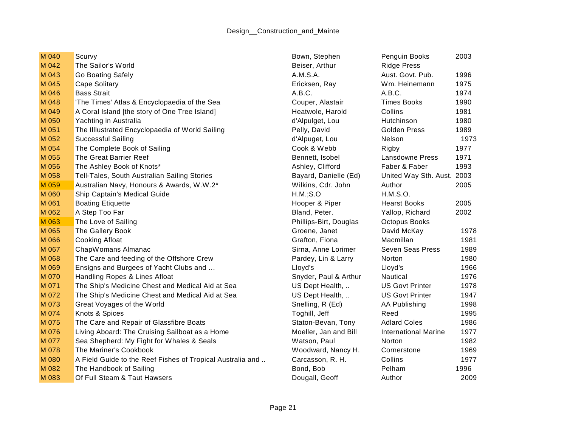| M 040 | Scurvy                                                     | Bown, Stephen          | Penguin Books               | 2003 |
|-------|------------------------------------------------------------|------------------------|-----------------------------|------|
| M 042 | The Sailor's World                                         | Beiser, Arthur         | <b>Ridge Press</b>          |      |
| M 043 | Go Boating Safely                                          | A.M.S.A.               | Aust. Govt. Pub.            | 1996 |
| M 045 | Cape Solitary                                              | Ericksen, Ray          | Wm. Heinemann               | 1975 |
| M 046 | <b>Bass Strait</b>                                         | A.B.C.                 | A.B.C.                      | 1974 |
| M 048 | 'The Times' Atlas & Encyclopaedia of the Sea               | Couper, Alastair       | <b>Times Books</b>          | 1990 |
| M 049 | A Coral Island [the story of One Tree Island]              | Heatwole, Harold       | Collins                     | 1981 |
| M 050 | Yachting in Australia                                      | d'Alpulget, Lou        | Hutchinson                  | 1980 |
| M 051 | The Illlustrated Encyclopaedia of World Sailing            | Pelly, David           | <b>Golden Press</b>         | 1989 |
| M 052 | Successful Sailing                                         | d'Alpuget, Lou         | Nelson                      | 1973 |
| M 054 | The Complete Book of Sailing                               | Cook & Webb            | Rigby                       | 1977 |
| M 055 | The Great Barrier Reef                                     | Bennett, Isobel        | Lansdowne Press             | 1971 |
| M 056 | The Ashley Book of Knots*                                  | Ashley, Clifford       | Faber & Faber               | 1993 |
| M 058 | Tell-Tales, South Australian Sailing Stories               | Bayard, Danielle (Ed)  | United Way Sth. Aust. 2003  |      |
| M 059 | Australian Navy, Honours & Awards, W.W.2*                  | Wilkins, Cdr. John     | Author                      | 2005 |
| M 060 | Ship Captain's Medical Guide                               | H.M.; S.O              | H.M.S.O.                    |      |
| M 061 | <b>Boating Etiquette</b>                                   | Hooper & Piper         | <b>Hearst Books</b>         | 2005 |
| M 062 | A Step Too Far                                             | Bland, Peter.          | Yallop, Richard             | 2002 |
| M 063 | The Love of Sailing                                        | Phillips-Birt, Douglas | Octopus Books               |      |
| M 065 | The Gallery Book                                           | Groene, Janet          | David McKay                 | 1978 |
| M 066 | <b>Cooking Afloat</b>                                      | Grafton, Fiona         | Macmillan                   | 1981 |
| M 067 | ChapWomans Almanac                                         | Sirna, Anne Lorimer    | Seven Seas Press            | 1989 |
| M 068 | The Care and feeding of the Offshore Crew                  | Pardey, Lin & Larry    | Norton                      | 1980 |
| M 069 | Ensigns and Burgees of Yacht Clubs and                     | Lloyd's                | Lloyd's                     | 1966 |
| M 070 | Handling Ropes & Lines Afloat                              | Snyder, Paul & Arthur  | Nautical                    | 1976 |
| M 071 | The Ship's Medicine Chest and Medical Aid at Sea           | US Dept Health,        | <b>US Govt Printer</b>      | 1978 |
| M 072 | The Ship's Medicine Chest and Medical Aid at Sea           | US Dept Health,        | <b>US Govt Printer</b>      | 1947 |
| M 073 | Great Voyages of the World                                 | Snelling, R (Ed)       | <b>AA Publishing</b>        | 1998 |
| M 074 | Knots & Spices                                             | Toghill, Jeff          | Reed                        | 1995 |
| M 075 | The Care and Repair of Glassfibre Boats                    | Staton-Bevan, Tony     | <b>Adlard Coles</b>         | 1986 |
| M 076 | Living Aboard: The Cruising Sailboat as a Home             | Moeller, Jan and Bill  | <b>International Marine</b> | 1977 |
| M 077 | Sea Shepherd: My Fight for Whales & Seals                  | Watson, Paul           | Norton                      | 1982 |
| M 078 | The Mariner's Cookbook                                     | Woodward, Nancy H.     | Cornerstone                 | 1969 |
| M 080 | A Field Guide to the Reef Fishes of Tropical Australia and | Carcasson, R. H.       | Collins                     | 1977 |
| M 082 | The Handbook of Sailing                                    | Bond, Bob              | Pelham                      | 1996 |
| M 083 | Of Full Steam & Taut Hawsers                               | Dougall, Geoff         | Author                      | 2009 |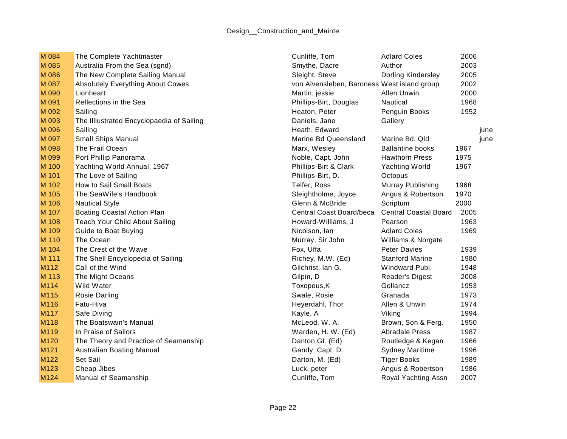| M 084 | The Complete Yachtmaster                  | Cunliffe, Tom                               | <b>Adlard Coles</b>          | 2006 |      |
|-------|-------------------------------------------|---------------------------------------------|------------------------------|------|------|
| M 085 | Australia From the Sea (sgnd)             | Smythe, Dacre                               | Author                       | 2003 |      |
| M 086 | The New Complete Sailing Manual           | Sleight, Steve                              | Dorling Kindersley           | 2005 |      |
| M 087 | <b>Absolutely Everything About Cowes</b>  | von Alvensleben, Baroness West island group |                              | 2002 |      |
| M 090 | Lionheart                                 | Martin, jessie                              | <b>Allen Unwin</b>           | 2000 |      |
| M 091 | Reflections in the Sea                    | Phillips-Birt, Douglas                      | Nautical                     | 1968 |      |
| M 092 | Sailing                                   | Heaton, Peter                               | Penguin Books                | 1952 |      |
| M 093 | The Illlustrated Encyclopaedia of Sailing | Daniels, Jane                               | Gallery                      |      |      |
| M 096 | Sailing                                   | Heath, Edward                               |                              |      | june |
| M 097 | Small Ships Manual                        | Marine Bd Queensland                        | Marine Bd. Qld               |      | june |
| M 098 | The Frail Ocean                           | Marx, Wesley                                | <b>Ballantine books</b>      | 1967 |      |
| M 099 | Port Phillip Panorama                     | Noble, Capt. John                           | <b>Hawthorn Press</b>        | 1975 |      |
| M 100 | Yachting World Annual, 1967               | Phillips-Birt & Clark                       | <b>Yachting World</b>        | 1967 |      |
| M 101 | The Love of Sailing                       | Phillips-Birt, D.                           | Octopus                      |      |      |
| M 102 | How to Sail Small Boats                   | Telfer, Ross                                | Murray Publishing            | 1968 |      |
| M 105 | The SeaWife's Handbook                    | Sleightholme, Joyce                         | Angus & Robertson            | 1970 |      |
| M 106 | <b>Nautical Style</b>                     | Glenn & McBride                             | Scriptum                     | 2000 |      |
| M 107 | <b>Boating Coastal Action Plan</b>        | Central Coast Board/beca                    | <b>Central Coastal Board</b> | 2005 |      |
| M 108 | Teach Your Child About Sailing            | Howard-Williams, J                          | Pearson                      | 1963 |      |
| M 109 | Guide to Boat Buying                      | Nicolson, Ian                               | <b>Adlard Coles</b>          | 1969 |      |
| M 110 | The Ocean                                 | Murray, Sir John                            | Williams & Norgate           |      |      |
| M 104 | The Crest of the Wave                     | Fox, Uffa                                   | <b>Peter Davies</b>          | 1939 |      |
| M 111 | The Shell Encyclopedia of Sailing         | Richey, M.W. (Ed)                           | <b>Stanford Marine</b>       | 1980 |      |
| M112  | Call of the Wind                          | Gilchrist, Ian G.                           | Windward Publ.               | 1948 |      |
| M 113 | The Might Oceans                          | Gilpin, D                                   | Reader's Digest              | 2008 |      |
| M114  | Wild Water                                | Toxopeus, K                                 | Gollancz                     | 1953 |      |
| M115  | Rosie Darling                             | Swale, Rosie                                | Granada                      | 1973 |      |
| M116  | Fatu-Hiva                                 | Heyerdahl, Thor                             | Allen & Unwin                | 1974 |      |
| M117  | Safe Diving                               | Kayle, A                                    | Viking                       | 1994 |      |
| M118  | The Boatswain's Manual                    | McLeod, W. A.                               | Brown, Son & Ferg.           | 1950 |      |
| M119  | In Praise of Sailors                      | Warden, H. W. (Ed)                          | <b>Abradale Press</b>        | 1987 |      |
| M120  | The Theory and Practice of Seamanship     | Danton GL (Ed)                              | Routledge & Kegan            | 1966 |      |
| M121  | Australian Boating Manual                 | Gandy, Capt. D.                             | <b>Sydney Maritime</b>       | 1996 |      |
| M122  | Set Sail                                  | Darton, M. (Ed)                             | <b>Tiger Books</b>           | 1989 |      |
| M123  | Cheap Jibes                               | Luck, peter                                 | Angus & Robertson            | 1986 |      |
| M124  | <b>Manual of Seamanship</b>               | Cunliffe, Tom                               | Royal Yachting Assn          | 2007 |      |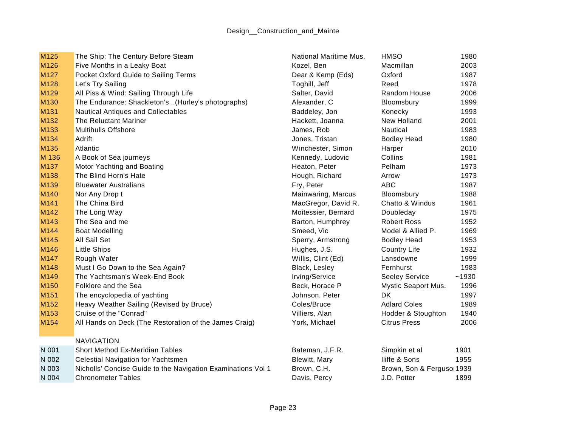| M <sub>125</sub> | The Ship: The Century Before Steam                           | <b>National Maritime Mus.</b> | <b>HMSO</b>               | 1980  |
|------------------|--------------------------------------------------------------|-------------------------------|---------------------------|-------|
| M126             | Five Months in a Leaky Boat                                  | Kozel, Ben                    | Macmillan                 | 2003  |
| M127             | Pocket Oxford Guide to Sailing Terms                         | Dear & Kemp (Eds)             | Oxford                    | 1987  |
| M128             | Let's Try Sailing                                            | Toghill, Jeff                 | Reed                      | 1978  |
| M129             | All Piss & Wind: Sailing Through Life                        | Salter, David                 | Random House              | 2006  |
| M130             | The Endurance: Shackleton's (Hurley's photographs)           | Alexander, C                  | Bloomsbury                | 1999  |
| M131             | <b>Nautical Antiques and Collectables</b>                    | Baddeley, Jon                 | Konecky                   | 1993  |
| M132             | The Reluctant Mariner                                        | Hackett, Joanna               | New Holland               | 2001  |
| M133             | <b>Multihulls Offshore</b>                                   | James, Rob                    | <b>Nautical</b>           | 1983  |
| M134             | <b>Adrift</b>                                                | Jones, Tristan                | <b>Bodley Head</b>        | 1980  |
| M135             | Atlantic                                                     | Winchester, Simon             | Harper                    | 2010  |
| M 136            | A Book of Sea journeys                                       | Kennedy, Ludovic              | Collins                   | 1981  |
| M137             | <b>Motor Yachting and Boating</b>                            | Heaton, Peter                 | Pelham                    | 1973  |
| M138             | The Blind Horn's Hate                                        | Hough, Richard                | Arrow                     | 1973  |
| M139             | <b>Bluewater Australians</b>                                 | Fry, Peter                    | <b>ABC</b>                | 1987  |
| M140             | Nor Any Drop t                                               | Mainwaring, Marcus            | Bloomsbury                | 1988  |
| M141             | The China Bird                                               | MacGregor, David R.           | Chatto & Windus           | 1961  |
| M142             | The Long Way                                                 | Moitessier, Bernard           | Doubleday                 | 1975  |
| M143             | The Sea and me                                               | Barton, Humphrey              | <b>Robert Ross</b>        | 1952  |
| M144             | <b>Boat Modelling</b>                                        | Smeed, Vic                    | Model & Allied P.         | 1969  |
| M145             | <b>All Sail Set</b>                                          | Sperry, Armstrong             | <b>Bodley Head</b>        | 1953  |
| M146             | <b>Little Ships</b>                                          | Hughes, J.S.                  | <b>Country Life</b>       | 1932  |
| M <sub>147</sub> | Rough Water                                                  | Willis, Clint (Ed)            | Lansdowne                 | 1999  |
| M148             | Must I Go Down to the Sea Again?                             | Black, Lesley                 | Fernhurst                 | 1983  |
| M149             | The Yachtsman's Week-End Book                                | Irving/Service                | <b>Seeley Service</b>     | ~1930 |
| M150             | Folklore and the Sea                                         | Beck, Horace P                | Mystic Seaport Mus.       | 1996  |
| M151             | The encyclopedia of yachting                                 | Johnson, Peter                | <b>DK</b>                 | 1997  |
| M152             | Heavy Weather Sailing (Revised by Bruce)                     | Coles/Bruce                   | <b>Adlard Coles</b>       | 1989  |
| M153             | Cruise of the "Conrad"                                       | Villiers, Alan                | Hodder & Stoughton        | 1940  |
| M154             | All Hands on Deck (The Restoration of the James Craig)       | York, Michael                 | <b>Citrus Press</b>       | 2006  |
|                  | <b>NAVIGATION</b>                                            |                               |                           |       |
| N 001            | <b>Short Method Ex-Meridian Tables</b>                       | Bateman, J.F.R.               | Simpkin et al             | 1901  |
| N 002            | Celestial Navigation for Yachtsmen                           | <b>Blewitt, Mary</b>          | Iliffe & Sons             | 1955  |
| N 003            | Nicholls' Concise Guide to the Navigation Examinations Vol 1 | Brown, C.H.                   | Brown, Son & Ferguso 1939 |       |
| N 004            | Chronometer Tables                                           | Davis, Percy                  | J.D. Potter               | 1899  |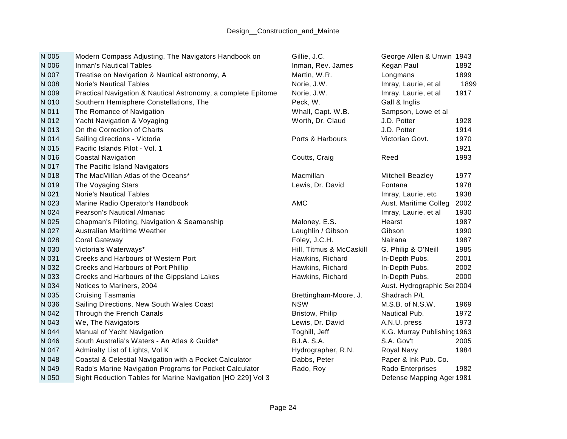| N 005 | Modern Compass Adjusting, The Navigators Handbook on          | Gillie, J.C.             | George Allen & Unwin 1943   |      |
|-------|---------------------------------------------------------------|--------------------------|-----------------------------|------|
| N 006 | <b>Inman's Nautical Tables</b>                                | Inman, Rev. James        | Kegan Paul                  | 1892 |
| N 007 | Treatise on Navigation & Nautical astronomy, A                | Martin, W.R.             | Longmans                    | 1899 |
| N 008 | <b>Norie's Nautical Tables</b>                                | Norie, J.W.              | Imray, Laurie, et al        | 1899 |
| N 009 | Practical Navigation & Nautical Astronomy, a complete Epitome | Norie, J.W.              | Imray. Laurie, et al        | 1917 |
| N 010 | Southern Hemisphere Constellations, The                       | Peck, W.                 | Gall & Inglis               |      |
| N 011 | The Romance of Navigation                                     | Whall, Capt. W.B.        | Sampson, Lowe et al         |      |
| N 012 | Yacht Navigation & Voyaging                                   | Worth, Dr. Claud         | J.D. Potter                 | 1928 |
| N 013 | On the Correction of Charts                                   |                          | J.D. Potter                 | 1914 |
| N 014 | Sailing directions - Victoria                                 | Ports & Harbours         | Victorian Govt.             | 1970 |
| N 015 | Pacific Islands Pilot - Vol. 1                                |                          |                             | 1921 |
| N 016 | <b>Coastal Navigation</b>                                     | Coutts, Craig            | Reed                        | 1993 |
| N 017 | The Pacific Island Navigators                                 |                          |                             |      |
| N 018 | The MacMillan Atlas of the Oceans*                            | Macmillan                | <b>Mitchell Beazley</b>     | 1977 |
| N 019 | The Voyaging Stars                                            | Lewis, Dr. David         | Fontana                     | 1978 |
| N 021 | <b>Norie's Nautical Tables</b>                                |                          | Imray, Laurie, etc          | 1938 |
| N 023 | Marine Radio Operator's Handbook                              | <b>AMC</b>               | Aust. Maritime Colleg       | 2002 |
| N 024 | Pearson's Nautical Almanac                                    |                          | Imray, Laurie, et al        | 1930 |
| N 025 | Chapman's Piloting, Navigation & Seamanship                   | Maloney, E.S.            | Hearst                      | 1987 |
| N 027 | Australian Maritime Weather                                   | Laughlin / Gibson        | Gibson                      | 1990 |
| N 028 | <b>Coral Gateway</b>                                          | Foley, J.C.H.            | Nairana                     | 1987 |
| N 030 | Victoria's Waterways*                                         | Hill, Titmus & McCaskill | G. Philip & O'Neill         | 1985 |
| N 031 | Creeks and Harbours of Western Port                           | Hawkins, Richard         | In-Depth Pubs.              | 2001 |
| N 032 | Creeks and Harbours of Port Phillip                           | Hawkins, Richard         | In-Depth Pubs.              | 2002 |
| N 033 | Creeks and Harbours of the Gippsland Lakes                    | Hawkins, Richard         | In-Depth Pubs.              | 2000 |
| N 034 | Notices to Mariners, 2004                                     |                          | Aust. Hydrographic Sei 2004 |      |
| N 035 | Cruising Tasmania                                             | Brettingham-Moore, J.    | Shadrach P/L                |      |
| N 036 | Sailing Directions, New South Wales Coast                     | <b>NSW</b>               | M.S.B. of N.S.W.            | 1969 |
| N 042 | Through the French Canals                                     | Bristow, Philip          | Nautical Pub.               | 1972 |
| N 043 | We, The Navigators                                            | Lewis, Dr. David         | A.N.U. press                | 1973 |
| N 044 | Manual of Yacht Navigation                                    | Toghill, Jeff            | K.G. Murray Publishing 1963 |      |
| N 046 | South Australia's Waters - An Atlas & Guide*                  | <b>B.I.A. S.A.</b>       | S.A. Gov't                  | 2005 |
| N 047 | Admiralty List of Lights, Vol K                               | Hydrographer, R.N.       | Royal Navy                  | 1984 |
| N 048 | Coastal & Celestial Navigation with a Pocket Calculator       | Dabbs, Peter             | Paper & Ink Pub. Co.        |      |
| N 049 | Rado's Marine Navigation Programs for Pocket Calculator       | Rado, Roy                | Rado Enterprises            | 1982 |
| N 050 | Sight Reduction Tables for Marine Navigation [HO 229] Vol 3   |                          | Defense Mapping Ager 1981   |      |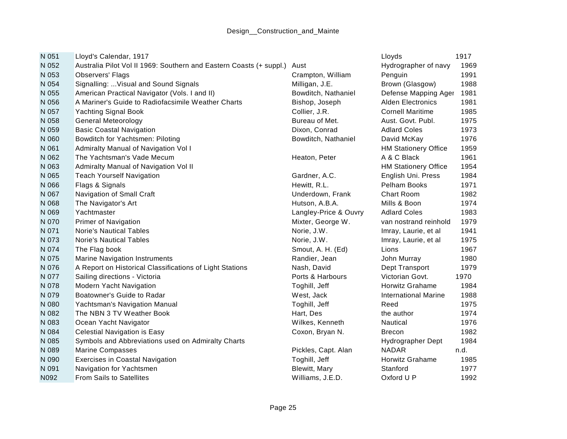| N 051 | Lloyd's Calendar, 1917                                              |                       | Lloyds                      | 1917 |
|-------|---------------------------------------------------------------------|-----------------------|-----------------------------|------|
| N 052 | Australia Pilot Vol II 1969: Southern and Eastern Coasts (+ suppl.) | Aust                  | Hydrographer of navy        | 1969 |
| N 053 | <b>Observers' Flags</b>                                             | Crampton, William     | Penguin                     | 1991 |
| N 054 | Signalling:  Visual and Sound Signals                               | Milligan, J.E.        | Brown (Glasgow)             | 1988 |
| N 055 | American Practical Navigator (Vols. I and II)                       | Bowditch, Nathaniel   | Defense Mapping Ager        | 1981 |
| N 056 | A Mariner's Guide to Radiofacsimile Weather Charts                  | Bishop, Joseph        | <b>Alden Electronics</b>    | 1981 |
| N 057 | <b>Yachting Signal Book</b>                                         | Collier, J.R.         | <b>Cornell Maritime</b>     | 1985 |
| N 058 | <b>General Meteorology</b>                                          | Bureau of Met.        | Aust. Govt. Publ.           | 1975 |
| N 059 | <b>Basic Coastal Navigation</b>                                     | Dixon, Conrad         | <b>Adlard Coles</b>         | 1973 |
| N 060 | Bowditch for Yachtsmen: Piloting                                    | Bowditch, Nathaniel   | David McKay                 | 1976 |
| N 061 | Admiralty Manual of Navigation Vol I                                |                       | <b>HM Stationery Office</b> | 1959 |
| N 062 | The Yachtsman's Vade Mecum                                          | Heaton, Peter         | A & C Black                 | 1961 |
| N 063 | Admiralty Manual of Navigation Vol II                               |                       | <b>HM Stationery Office</b> | 1954 |
| N 065 | <b>Teach Yourself Navigation</b>                                    | Gardner, A.C.         | English Uni. Press          | 1984 |
| N 066 | Flags & Signals                                                     | Hewitt, R.L.          | <b>Pelham Books</b>         | 1971 |
| N 067 | Navigation of Small Craft                                           | Underdown, Frank      | <b>Chart Room</b>           | 1982 |
| N 068 | The Navigator's Art                                                 | Hutson, A.B.A.        | Mills & Boon                | 1974 |
| N 069 | Yachtmaster                                                         | Langley-Price & Ouvry | <b>Adlard Coles</b>         | 1983 |
| N 070 | Primer of Navigation                                                | Mixter, George W.     | van nostrand reinhold       | 1979 |
| N 071 | <b>Norie's Nautical Tables</b>                                      | Norie, J.W.           | Imray, Laurie, et al        | 1941 |
| N 073 | <b>Norie's Nautical Tables</b>                                      | Norie, J.W.           | Imray, Laurie, et al        | 1975 |
| N 074 | The Flag book                                                       | Smout, A. H. (Ed)     | Lions                       | 1967 |
| N 075 | <b>Marine Navigation Instruments</b>                                | Randier, Jean         | John Murray                 | 1980 |
| N 076 | A Report on Historical Classifications of Light Stations            | Nash, David           | Dept Transport              | 1979 |
| N 077 | Sailing directions - Victoria                                       | Ports & Harbours      | Victorian Govt.             | 1970 |
| N 078 | <b>Modern Yacht Navigation</b>                                      | Toghill, Jeff         | <b>Horwitz Grahame</b>      | 1984 |
| N 079 | Boatowner's Guide to Radar                                          | West, Jack            | <b>International Marine</b> | 1988 |
| N 080 | Yachtsman's Navigation Manual                                       | Toghill, Jeff         | Reed                        | 1975 |
| N 082 | The NBN 3 TV Weather Book                                           | Hart, Des             | the author                  | 1974 |
| N 083 | Ocean Yacht Navigator                                               | Wilkes, Kenneth       | Nautical                    | 1976 |
| N 084 | <b>Celestial Navigation is Easy</b>                                 | Coxon, Bryan N.       | <b>Brecon</b>               | 1982 |
| N 085 | Symbols and Abbreviations used on Admiralty Charts                  |                       | Hydrographer Dept           | 1984 |
| N 089 | <b>Marine Compasses</b>                                             | Pickles, Capt. Alan   | <b>NADAR</b>                | n.d. |
| N 090 | <b>Exercises in Coastal Navigation</b>                              | Toghill, Jeff         | Horwitz Grahame             | 1985 |
| N 091 | Navigation for Yachtsmen                                            | <b>Blewitt, Mary</b>  | Stanford                    | 1977 |
| N092  | <b>From Sails to Satellites</b>                                     | Williams, J.E.D.      | Oxford U P                  | 1992 |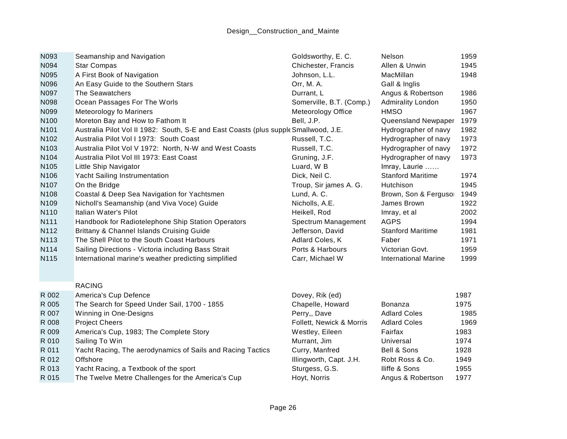| N093  | Seamanship and Navigation                                                            | Goldsworthy, E. C.       | <b>Nelson</b>               | 1959 |
|-------|--------------------------------------------------------------------------------------|--------------------------|-----------------------------|------|
| N094  | <b>Star Compas</b>                                                                   | Chichester, Francis      | Allen & Unwin               | 1945 |
| N095  | A First Book of Navigation                                                           | Johnson, L.L.            | MacMillan                   | 1948 |
| N096  | An Easy Guide to the Southern Stars                                                  | Orr, M. A.               | Gall & Inglis               |      |
| N097  | The Seawatchers                                                                      | Durrant, L               | Angus & Robertson           | 1986 |
| N098  | Ocean Passages For The Worls                                                         | Somerville, B.T. (Comp.) | <b>Admirality London</b>    | 1950 |
| N099  | <b>Meteorology fo Mariners</b>                                                       | Meteorology Office       | <b>HMSO</b>                 | 1967 |
| N100  | Moreton Bay and How to Fathom It                                                     | Bell, J.P.               | Queensland Newpaper         | 1979 |
| N101  | Australia Pilot Vol II 1982: South, S-E and East Coasts (plus supple Smallwood, J.E. |                          | Hydrographer of navy        | 1982 |
| N102  | Australia Pilot Vol I 1973: South Coast                                              | Russell, T.C.            | Hydrographer of navy        | 1973 |
| N103  | Australia Pilot Vol V 1972: North, N-W and West Coasts                               | Russell, T.C.            | Hydrographer of navy        | 1972 |
| N104  | Australia Pilot Vol III 1973: East Coast                                             | Gruning, J.F.            | Hydrographer of navy        | 1973 |
| N105  | Little Ship Navigator                                                                | Luard, W B               | Imray, Laurie               |      |
| N106  | Yacht Sailing Instrumentation                                                        | Dick, Neil C.            | <b>Stanford Maritime</b>    | 1974 |
| N107  | On the Bridge                                                                        | Troup, Sir james A. G.   | Hutchison                   | 1945 |
| N108  | Coastal & Deep Sea Navigation for Yachtsmen                                          | Lund, A. C.              | Brown, Son & Fergusor       | 1949 |
| N109  | Nicholl's Seamanship (and Viva Voce) Guide                                           | Nicholls, A.E.           | James Brown                 | 1922 |
| N110  | Italian Water's Pilot                                                                | Heikell, Rod             | Imray, et al                | 2002 |
| N111  | Handbook for Radiotelephone Ship Station Operators                                   | Spectrum Management      | <b>AGPS</b>                 | 1994 |
| N112  | Brittany & Channel Islands Cruising Guide                                            | Jefferson, David         | <b>Stanford Maritime</b>    | 1981 |
| N113  | The Shell Pilot to the South Coast Harbours                                          | Adlard Coles, K          | Faber                       | 1971 |
| N114  | Sailing Directions - Victoria including Bass Strait                                  | Ports & Harbours         | Victorian Govt.             | 1959 |
| N115  | International marine's weather predicting simplified                                 | Carr, Michael W          | <b>International Marine</b> | 1999 |
|       | <b>RACING</b>                                                                        |                          |                             |      |
| R 002 | America's Cup Defence                                                                | Dovey, Rik (ed)          |                             | 1987 |
| R 005 | The Search for Speed Under Sail, 1700 - 1855                                         | Chapelle, Howard         | <b>Bonanza</b>              | 1975 |
| R 007 | Winning in One-Designs                                                               | Perry,, Dave             | <b>Adlard Coles</b>         | 1985 |
| R 008 | <b>Project Cheers</b>                                                                | Follett, Newick & Morris | <b>Adlard Coles</b>         | 1969 |
| R 009 | America's Cup, 1983; The Complete Story                                              | Westley, Eileen          | Fairfax                     | 1983 |
| R 010 | Sailing To Win                                                                       | Murrant, Jim             | Universal                   | 1974 |
| R 011 | Yacht Racing, The aerodynamics of Sails and Racing Tactics                           | Curry, Manfred           | Bell & Sons                 | 1928 |
| R 012 | Offshore                                                                             | Illingworth, Capt. J.H.  | Robt Ross & Co.             | 1949 |
| R 013 | Yacht Racing, a Textbook of the sport                                                | Sturgess, G.S.           | Iliffe & Sons               | 1955 |
| R 015 | The Twelve Metre Challenges for the America's Cup                                    | Hoyt, Norris             | Angus & Robertson           | 1977 |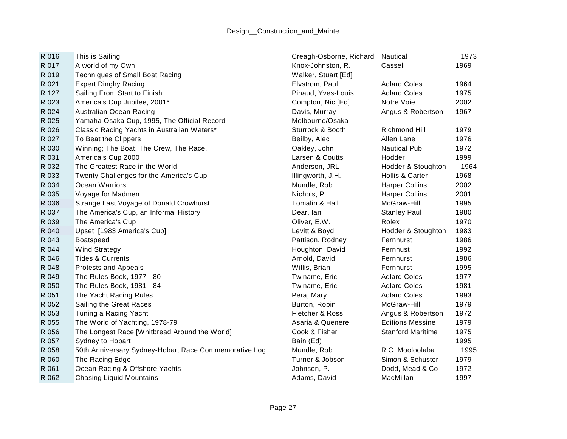| R 016 | This is Sailing                                       | Creagh-Osborne, Richard | Nautical                 | 1973 |
|-------|-------------------------------------------------------|-------------------------|--------------------------|------|
| R 017 | A world of my Own                                     | Knox-Johnston, R.       | Cassell                  | 1969 |
| R 019 | <b>Techniques of Small Boat Racing</b>                | Walker, Stuart [Ed]     |                          |      |
| R 021 | <b>Expert Dinghy Racing</b>                           | Elvstrom, Paul          | <b>Adlard Coles</b>      | 1964 |
| R 127 | Sailing From Start to Finish                          | Pinaud, Yves-Louis      | <b>Adlard Coles</b>      | 1975 |
| R 023 | America's Cup Jubilee, 2001*                          | Compton, Nic [Ed]       | Notre Voie               | 2002 |
| R 024 | Australian Ocean Racing                               | Davis, Murray           | Angus & Robertson        | 1967 |
| R 025 | Yamaha Osaka Cup, 1995, The Official Record           | Melbourne/Osaka         |                          |      |
| R 026 | Classic Racing Yachts in Australian Waters*           | Sturrock & Booth        | Richmond Hill            | 1979 |
| R 027 | To Beat the Clippers                                  | Beilby, Alec            | Allen Lane               | 1976 |
| R 030 | Winning; The Boat, The Crew, The Race.                | Oakley, John            | <b>Nautical Pub</b>      | 1972 |
| R 031 | America's Cup 2000                                    | Larsen & Coutts         | Hodder                   | 1999 |
| R 032 | The Greatest Race in the World                        | Anderson, JRL           | Hodder & Stoughton       | 1964 |
| R 033 | Twenty Challenges for the America's Cup               | Illingworth, J.H.       | Hollis & Carter          | 1968 |
| R 034 | Ocean Warriors                                        | Mundle, Rob             | <b>Harper Collins</b>    | 2002 |
| R 035 | Voyage for Madmen                                     | Nichols, P.             | <b>Harper Collins</b>    | 2001 |
| R 036 | Strange Last Voyage of Donald Crowhurst               | Tomalin & Hall          | McGraw-Hill              | 1995 |
| R 037 | The America's Cup, an Informal History                | Dear, lan               | <b>Stanley Paul</b>      | 1980 |
| R 039 | The America's Cup                                     | Oliver, E.W.            | Rolex                    | 1970 |
| R 040 | Upset [1983 America's Cup]                            | Levitt & Boyd           | Hodder & Stoughton       | 1983 |
| R 043 | Boatspeed                                             | Pattison, Rodney        | Fernhurst                | 1986 |
| R 044 | <b>Wind Strategy</b>                                  | Houghton, David         | Fernhust                 | 1992 |
| R 046 | <b>Tides &amp; Currents</b>                           | Arnold, David           | Fernhurst                | 1986 |
| R 048 | <b>Protests and Appeals</b>                           | Willis, Brian           | Fernhurst                | 1995 |
| R 049 | The Rules Book, 1977 - 80                             | Twiname, Eric           | <b>Adlard Coles</b>      | 1977 |
| R 050 | The Rules Book, 1981 - 84                             | Twiname, Eric           | <b>Adlard Coles</b>      | 1981 |
| R 051 | The Yacht Racing Rules                                | Pera, Mary              | <b>Adlard Coles</b>      | 1993 |
| R 052 | Sailing the Great Races                               | Burton, Robin           | McGraw-Hill              | 1979 |
| R 053 | Tuning a Racing Yacht                                 | Fletcher & Ross         | Angus & Robertson        | 1972 |
| R 055 | The World of Yachting, 1978-79                        | Asaria & Quenere        | <b>Editions Messine</b>  | 1979 |
| R 056 | The Longest Race [Whitbread Around the World]         | Cook & Fisher           | <b>Stanford Maritime</b> | 1975 |
| R 057 | Sydney to Hobart                                      | Bain (Ed)               |                          | 1995 |
| R 058 | 50th Anniversary Sydney-Hobart Race Commemorative Log | Mundle, Rob             | R.C. Mooloolaba          | 1995 |
| R 060 | The Racing Edge                                       | Turner & Jobson         | Simon & Schuster         | 1979 |
| R 061 | Ocean Racing & Offshore Yachts                        | Johnson, P.             | Dodd, Mead & Co          | 1972 |
| R 062 | <b>Chasing Liquid Mountains</b>                       | Adams, David            | MacMillan                | 1997 |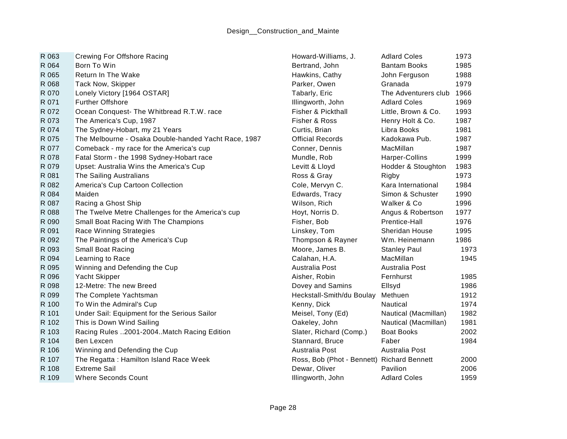| R 063 | <b>Crewing For Offshore Racing</b>                   | Howard-Williams, J.                        | <b>Adlard Coles</b>       | 1973 |
|-------|------------------------------------------------------|--------------------------------------------|---------------------------|------|
| R 064 | Born To Win                                          | Bertrand, John                             | <b>Bantam Books</b>       | 1985 |
| R 065 | Return In The Wake                                   | Hawkins, Cathy                             | John Ferguson             | 1988 |
| R 068 | Tack Now, Skipper                                    | Parker, Owen                               | Granada                   | 1979 |
| R 070 | Lonely Victory [1964 OSTAR]                          | Tabarly, Eric                              | The Adventurers club 1966 |      |
| R 071 | <b>Further Offshore</b>                              | Illingworth, John                          | <b>Adlard Coles</b>       | 1969 |
| R 072 | Ocean Conquest- The Whitbread R.T.W. race            | Fisher & Pickthall                         | Little, Brown & Co.       | 1993 |
| R 073 | The America's Cup, 1987                              | Fisher & Ross                              | Henry Holt & Co.          | 1987 |
| R 074 | The Sydney-Hobart, my 21 Years                       | Curtis, Brian                              | Libra Books               | 1981 |
| R 075 | The Melbourne - Osaka Double-handed Yacht Race, 1987 | <b>Official Records</b>                    | Kadokawa Pub.             | 1987 |
| R 077 | Comeback - my race for the America's cup             | Conner, Dennis                             | MacMillan                 | 1987 |
| R 078 | Fatal Storm - the 1998 Sydney-Hobart race            | Mundle, Rob                                | Harper-Collins            | 1999 |
| R 079 | Upset: Australia Wins the America's Cup              | Levitt & Lloyd                             | Hodder & Stoughton        | 1983 |
| R 081 | The Sailing Australians                              | Ross & Gray                                | Rigby                     | 1973 |
| R 082 | America's Cup Cartoon Collection                     | Cole, Mervyn C.                            | Kara International        | 1984 |
| R 084 | Maiden                                               | Edwards, Tracy                             | Simon & Schuster          | 1990 |
| R 087 | Racing a Ghost Ship                                  | Wilson, Rich                               | Walker & Co               | 1996 |
| R 088 | The Twelve Metre Challenges for the America's cup    | Hoyt, Norris D.                            | Angus & Robertson         | 1977 |
| R 090 | Small Boat Racing With The Champions                 | Fisher, Bob                                | Prentice-Hall             | 1976 |
| R 091 | Race Winning Strategies                              | Linskey, Tom                               | <b>Sheridan House</b>     | 1995 |
| R 092 | The Paintings of the America's Cup                   | Thompson & Rayner                          | Wm. Heinemann             | 1986 |
| R 093 | Small Boat Racing                                    | Moore, James B.                            | <b>Stanley Paul</b>       | 1973 |
| R 094 | Learning to Race                                     | Calahan, H.A.                              | MacMillan                 | 1945 |
| R 095 | Winning and Defending the Cup                        | Australia Post                             | Australia Post            |      |
| R 096 | Yacht Skipper                                        | Aisher, Robin                              | Fernhurst                 | 1985 |
| R 098 | 12-Metre: The new Breed                              | Dovey and Samins                           | Ellsyd                    | 1986 |
| R 099 | The Complete Yachtsman                               | Heckstall-Smith/du Boulay                  | Methuen                   | 1912 |
| R 100 | To Win the Admiral's Cup                             | Kenny, Dick                                | <b>Nautical</b>           | 1974 |
| R 101 | Under Sail: Equipment for the Serious Sailor         | Meisel, Tony (Ed)                          | Nautical (Macmillan)      | 1982 |
| R 102 | This is Down Wind Sailing                            | Oakeley, John                              | Nautical (Macmillan)      | 1981 |
| R 103 | Racing Rules 2001-2004. Match Racing Edition         | Slater, Richard (Comp.)                    | <b>Boat Books</b>         | 2002 |
| R 104 | Ben Lexcen                                           | Stannard, Bruce                            | Faber                     | 1984 |
| R 106 | Winning and Defending the Cup                        | Australia Post                             | Australia Post            |      |
| R 107 | The Regatta: Hamilton Island Race Week               | Ross, Bob (Phot - Bennett) Richard Bennett |                           | 2000 |
| R 108 | <b>Extreme Sail</b>                                  | Dewar, Oliver                              | Pavilion                  | 2006 |
| R 109 | <b>Where Seconds Count</b>                           | Illingworth, John                          | <b>Adlard Coles</b>       | 1959 |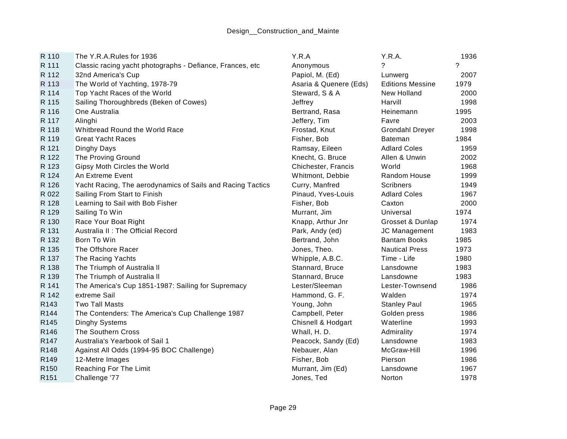| R 110            | The Y.R.A.Rules for 1936                                   | Y.R.A                  | Y.R.A.                  | 1936                     |
|------------------|------------------------------------------------------------|------------------------|-------------------------|--------------------------|
| R 111            | Classic racing yacht photographs - Defiance, Frances, etc  | Anonymous              | ?                       | $\overline{\phantom{0}}$ |
| R 112            | 32nd America's Cup                                         | Papiol, M. (Ed)        | Lunwerg                 | 2007                     |
| R 113            | The World of Yachting, 1978-79                             | Asaria & Quenere (Eds) | <b>Editions Messine</b> | 1979                     |
| R 114            | Top Yacht Races of the World                               | Steward, S & A         | New Holland             | 2000                     |
| R 115            | Sailing Thoroughbreds (Beken of Cowes)                     | Jeffrey                | Harvill                 | 1998                     |
| R 116            | One Australia                                              | Bertrand, Rasa         | Heinemann               | 1995                     |
| R 117            | Alinghi                                                    | Jeffery, Tim           | Favre                   | 2003                     |
| R 118            | Whitbread Round the World Race                             | Frostad, Knut          | <b>Grondahl Dreyer</b>  | 1998                     |
| R 119            | <b>Great Yacht Races</b>                                   | Fisher, Bob            | <b>Bateman</b>          | 1984                     |
| R 121            | Dinghy Days                                                | Ramsay, Eileen         | <b>Adlard Coles</b>     | 1959                     |
| R 122            | The Proving Ground                                         | Knecht, G. Bruce       | Allen & Unwin           | 2002                     |
| R 123            | Gipsy Moth Circles the World                               | Chichester, Francis    | World                   | 1968                     |
| R 124            | An Extreme Event                                           | Whitmont, Debbie       | Random House            | 1999                     |
| R 126            | Yacht Racing, The aerodynamics of Sails and Racing Tactics | Curry, Manfred         | <b>Scribners</b>        | 1949                     |
| R 022            | Sailing From Start to Finish                               | Pinaud, Yves-Louis     | <b>Adlard Coles</b>     | 1967                     |
| R 128            | Learning to Sail with Bob Fisher                           | Fisher, Bob            | Caxton                  | 2000                     |
| R 129            | Sailing To Win                                             | Murrant, Jim           | Universal               | 1974                     |
| R 130            | Race Your Boat Right                                       | Knapp, Arthur Jnr      | Grosset & Dunlap        | 1974                     |
| R 131            | Australia II : The Official Record                         | Park, Andy (ed)        | JC Management           | 1983                     |
| R 132            | Born To Win                                                | Bertrand, John         | <b>Bantam Books</b>     | 1985                     |
| R 135            | The Offshore Racer                                         | Jones, Theo.           | <b>Nautical Press</b>   | 1973                     |
| R 137            | The Racing Yachts                                          | Whipple, A.B.C.        | Time - Life             | 1980                     |
| R 138            | The Triumph of Australia II                                | Stannard, Bruce        | Lansdowne               | 1983                     |
| R 139            | The Triumph of Australia II                                | Stannard, Bruce        | Lansdowne               | 1983                     |
| R 141            | The America's Cup 1851-1987: Sailing for Supremacy         | Lester/Sleeman         | Lester-Townsend         | 1986                     |
| R 142            | extreme Sail                                               | Hammond, G. F.         | Walden                  | 1974                     |
| R143             | <b>Two Tall Masts</b>                                      | Young, John            | <b>Stanley Paul</b>     | 1965                     |
| R144             | The Contenders: The America's Cup Challenge 1987           | Campbell, Peter        | Golden press            | 1986                     |
| R <sub>145</sub> | <b>Dinghy Systems</b>                                      | Chisnell & Hodgart     | Waterline               | 1993                     |
| R <sub>146</sub> | The Southern Cross                                         | Whall, H. D.           | Admirality              | 1974                     |
| R147             | Australia's Yearbook of Sail 1                             | Peacock, Sandy (Ed)    | Lansdowne               | 1983                     |
| R148             | Against All Odds (1994-95 BOC Challenge)                   | Nebauer, Alan          | McGraw-Hill             | 1996                     |
| R149             | 12-Metre Images                                            | Fisher, Bob            | Pierson                 | 1986                     |
| R <sub>150</sub> | Reaching For The Limit                                     | Murrant, Jim (Ed)      | Lansdowne               | 1967                     |
| R <sub>151</sub> | Challenge '77                                              | Jones, Ted             | Norton                  | 1978                     |